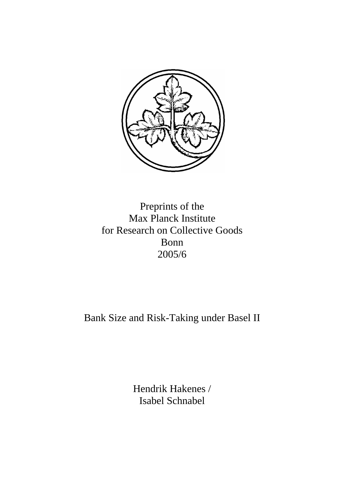

Preprints of the Max Planck Institute for Research on Collective Goods Bonn 2005/6

# Bank Size and Risk-Taking under Basel II

Hendrik Hakenes / Isabel Schnabel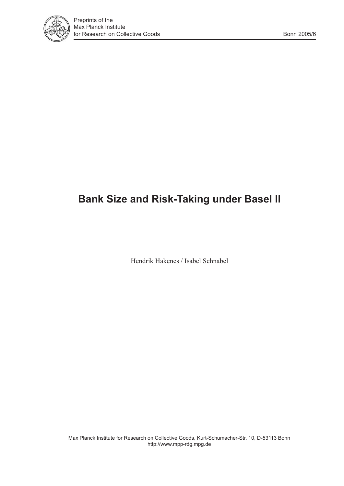

# **Bank Size and Risk-Taking under Basel II**

Hendrik Hakenes / Isabel Schnabel

Max Planck Institute for Research on Collective Goods, Kurt-Schumacher-Str. 10, D-53113 Bonn http://www.mpp-rdg.mpg.de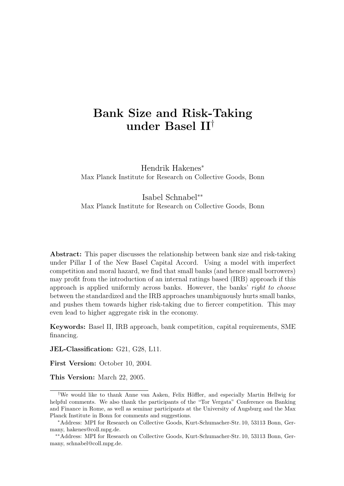# **Bank Size and Risk-Taking under Basel II**†

Hendrik Hakenes<sup>∗</sup> Max Planck Institute for Research on Collective Goods, Bonn

Isabel Schnabel∗∗ Max Planck Institute for Research on Collective Goods, Bonn

**Abstract:** This paper discusses the relationship between bank size and risk-taking under Pillar I of the New Basel Capital Accord. Using a model with imperfect competition and moral hazard, we find that small banks (and hence small borrowers) may profit from the introduction of an internal ratings based (IRB) approach if this approach is applied uniformly across banks. However, the banks' *right to choose* between the standardized and the IRB approaches unambiguously hurts small banks, and pushes them towards higher risk-taking due to fiercer competition. This may even lead to higher aggregate risk in the economy.

**Keywords:** Basel II, IRB approach, bank competition, capital requirements, SME financing.

**JEL-Classification:** G21, G28, L11.

**First Version:** October 10, 2004.

**This Version:** March 22, 2005.

<sup>&</sup>lt;sup>†</sup>We would like to thank Anne van Aaken, Felix Höffler, and especially Martin Hellwig for helpful comments. We also thank the participants of the "Tor Vergata" Conference on Banking and Finance in Rome, as well as seminar participants at the University of Augsburg and the Max Planck Institute in Bonn for comments and suggestions.

<sup>∗</sup>Address: MPI for Research on Collective Goods, Kurt-Schumacher-Str. 10, 53113 Bonn, Germany, hakenes@coll.mpg.de.

<sup>∗∗</sup>Address: MPI for Research on Collective Goods, Kurt-Schumacher-Str. 10, 53113 Bonn, Germany, schnabel@coll.mpg.de.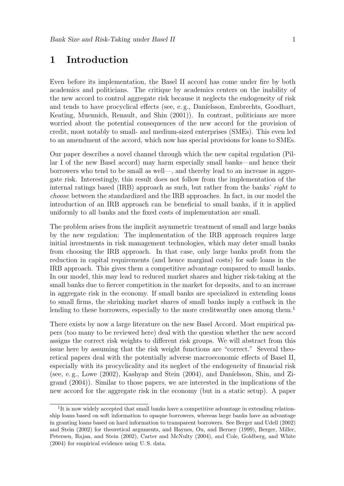# **1 Introduction**

Even before its implementation, the Basel II accord has come under fire by both academics and politicians. The critique by academics centers on the inability of the new accord to control aggregate risk because it neglects the endogeneity of risk and tends to have procyclical effects (see, e.g., Daníelsson, Embrechts, Goodhart, Keating, Muennich, Renault, and Shin (2001)). In contrast, politicians are more worried about the potential consequences of the new accord for the provision of credit, most notably to small- and medium-sized enterprises (SMEs). This even led to an amendment of the accord, which now has special provisions for loans to SMEs.

Our paper describes a novel channel through which the new capital regulation (Pillar I of the new Basel accord) may harm especially small banks—and hence their borrowers who tend to be small as well—, and thereby lead to an increase in aggregate risk. Interestingly, this result does not follow from the implementation of the internal ratings based (IRB) approach as such, but rather from the banks' *right to choose* between the standardized and the IRB approaches. In fact, in our model the introduction of an IRB approach can be beneficial to small banks, if it is applied uniformly to all banks and the fixed costs of implementation are small.

The problem arises from the implicit asymmetric treatment of small and large banks by the new regulation: The implementation of the IRB approach requires large initial investments in risk management technologies, which may deter small banks from choosing the IRB approach. In that case, only large banks profit from the reduction in capital requirements (and hence marginal costs) for safe loans in the IRB approach. This gives them a competitive advantage compared to small banks. In our model, this may lead to reduced market shares and higher risk-taking at the small banks due to fiercer competition in the market for deposits, and to an increase in aggregate risk in the economy. If small banks are specialized in extending loans to small firms, the shrinking market shares of small banks imply a cutback in the lending to these borrowers, especially to the more creditworthy ones among them.<sup>1</sup>

There exists by now a large literature on the new Basel Accord. Most empirical papers (too many to be reviewed here) deal with the question whether the new accord assigns the correct risk weights to different risk groups. We will abstract from this issue here by assuming that the risk weight functions are "correct." Several theoretical papers deal with the potentially adverse macroeconomic effects of Basel II, especially with its procyclicality and its neglect of the endogeneity of financial risk (see, e.g., Lowe  $(2002)$ , Kashyap and Stein  $(2004)$ , and Daníelsson, Shin, and Zigrand (2004)). Similar to those papers, we are interested in the implications of the new accord for the aggregate risk in the economy (but in a static setup). A paper

<sup>&</sup>lt;sup>1</sup>It is now widely accepted that small banks have a competitive advantage in extending relationship loans based on soft information to opaque borrowers, whereas large banks have an advantage in granting loans based on hard information to transparent borrowers. See Berger and Udell (2002) and Stein (2002) for theoretical arguments, and Haynes, Ou, and Berney (1999), Berger, Miller, Petersen, Rajan, and Stein (2002), Carter and McNulty (2004), and Cole, Goldberg, and White (2004) for empirical evidence using U. S. data.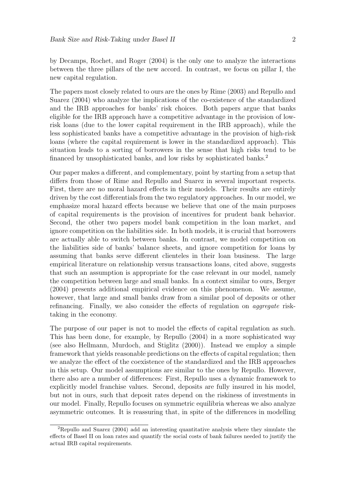by Decamps, Rochet, and Roger (2004) is the only one to analyze the interactions between the three pillars of the new accord. In contrast, we focus on pillar I, the new capital regulation.

The papers most closely related to ours are the ones by Rime (2003) and Repullo and Suarez (2004) who analyze the implications of the co-existence of the standardized and the IRB approaches for banks' risk choices. Both papers argue that banks eligible for the IRB approach have a competitive advantage in the provision of lowrisk loans (due to the lower capital requirement in the IRB approach), while the less sophisticated banks have a competitive advantage in the provision of high-risk loans (where the capital requirement is lower in the standardized approach). This situation leads to a sorting of borrowers in the sense that high risks tend to be financed by unsophisticated banks, and low risks by sophisticated banks.2

Our paper makes a different, and complementary, point by starting from a setup that differs from those of Rime and Repullo and Suarez in several important respects. First, there are no moral hazard effects in their models. Their results are entirely driven by the cost differentials from the two regulatory approaches. In our model, we emphasize moral hazard effects because we believe that one of the main purposes of capital requirements is the provision of incentives for prudent bank behavior. Second, the other two papers model bank competition in the loan market, and ignore competition on the liabilities side. In both models, it is crucial that borrowers are actually able to switch between banks. In contrast, we model competition on the liabilities side of banks' balance sheets, and ignore competition for loans by assuming that banks serve different clienteles in their loan business. The large empirical literature on relationship versus transactions loans, cited above, suggests that such an assumption is appropriate for the case relevant in our model, namely the competition between large and small banks. In a context similar to ours, Berger (2004) presents additional empirical evidence on this phenomenon. We assume, however, that large and small banks draw from a similar pool of deposits or other refinancing. Finally, we also consider the effects of regulation on *aggregate* risktaking in the economy.

The purpose of our paper is not to model the effects of capital regulation as such. This has been done, for example, by Repullo (2004) in a more sophisticated way (see also Hellmann, Murdoch, and Stiglitz (2000)). Instead we employ a simple framework that yields reasonable predictions on the effects of capital regulation; then we analyze the effect of the coexistence of the standardized and the IRB approaches in this setup. Our model assumptions are similar to the ones by Repullo. However, there also are a number of differences: First, Repullo uses a dynamic framework to explicitly model franchise values. Second, deposits are fully insured in his model, but not in ours, such that deposit rates depend on the riskiness of investments in our model. Finally, Repullo focuses on symmetric equilibria whereas we also analyze asymmetric outcomes. It is reassuring that, in spite of the differences in modelling

<sup>2</sup>Repullo and Suarez (2004) add an interesting quantitative analysis where they simulate the effects of Basel II on loan rates and quantify the social costs of bank failures needed to justify the actual IRB capital requirements.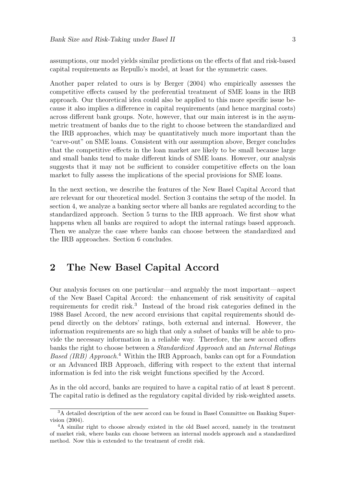assumptions, our model yields similar predictions on the effects of flat and risk-based capital requirements as Repullo's model, at least for the symmetric cases.

Another paper related to ours is by Berger (2004) who empirically assesses the competitive effects caused by the preferential treatment of SME loans in the IRB approach. Our theoretical idea could also be applied to this more specific issue because it also implies a difference in capital requirements (and hence marginal costs) across different bank groups. Note, however, that our main interest is in the asymmetric treatment of banks due to the right to choose between the standardized and the IRB approaches, which may be quantitatively much more important than the "carve-out" on SME loans. Consistent with our assumption above, Berger concludes that the competitive effects in the loan market are likely to be small because large and small banks tend to make different kinds of SME loans. However, our analysis suggests that it may not be sufficient to consider competitive effects on the loan market to fully assess the implications of the special provisions for SME loans.

In the next section, we describe the features of the New Basel Capital Accord that are relevant for our theoretical model. Section 3 contains the setup of the model. In section 4, we analyze a banking sector where all banks are regulated according to the standardized approach. Section 5 turns to the IRB approach. We first show what happens when all banks are required to adopt the internal ratings based approach. Then we analyze the case where banks can choose between the standardized and the IRB approaches. Section 6 concludes.

## **2 The New Basel Capital Accord**

Our analysis focuses on one particular—and arguably the most important—aspect of the New Basel Capital Accord: the enhancement of risk sensitivity of capital requirements for credit risk.<sup>3</sup> Instead of the broad risk categories defined in the 1988 Basel Accord, the new accord envisions that capital requirements should depend directly on the debtors' ratings, both external and internal. However, the information requirements are so high that only a subset of banks will be able to provide the necessary information in a reliable way. Therefore, the new accord offers banks the right to choose between a *Standardized Approach* and an *Internal Ratings Based (IRB) Approach*. <sup>4</sup> Within the IRB Approach, banks can opt for a Foundation or an Advanced IRB Approach, differing with respect to the extent that internal information is fed into the risk weight functions specified by the Accord.

As in the old accord, banks are required to have a capital ratio of at least 8 percent. The capital ratio is defined as the regulatory capital divided by risk-weighted assets.

<sup>3</sup>A detailed description of the new accord can be found in Basel Committee on Banking Supervision (2004).

<sup>4</sup>A similar right to choose already existed in the old Basel accord, namely in the treatment of market risk, where banks can choose between an internal models approach and a standardized method. Now this is extended to the treatment of credit risk.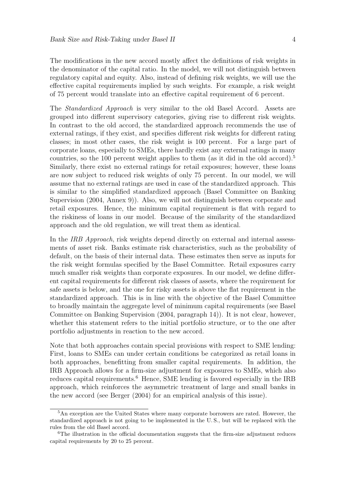The modifications in the new accord mostly affect the definitions of risk weights in the denominator of the capital ratio. In the model, we will not distinguish between regulatory capital and equity. Also, instead of defining risk weights, we will use the effective capital requirements implied by such weights. For example, a risk weight of 75 percent would translate into an effective capital requirement of 6 percent.

The *Standardized Approach* is very similar to the old Basel Accord. Assets are grouped into different supervisory categories, giving rise to different risk weights. In contrast to the old accord, the standardized approach recommends the use of external ratings, if they exist, and specifies different risk weights for different rating classes; in most other cases, the risk weight is 100 percent. For a large part of corporate loans, especially to SMEs, there hardly exist any external ratings in many countries, so the 100 percent weight applies to them (as it did in the old accord).<sup>5</sup> Similarly, there exist no external ratings for retail exposures; however, these loans are now subject to reduced risk weights of only 75 percent. In our model, we will assume that no external ratings are used in case of the standardized approach. This is similar to the simplified standardized approach (Basel Committee on Banking Supervision (2004, Annex 9)). Also, we will not distinguish between corporate and retail exposures. Hence, the minimum capital requirement is flat with regard to the riskiness of loans in our model. Because of the similarity of the standardized approach and the old regulation, we will treat them as identical.

In the *IRB Approach*, risk weights depend directly on external and internal assessments of asset risk. Banks estimate risk characteristics, such as the probability of default, on the basis of their internal data. These estimates then serve as inputs for the risk weight formulas specified by the Basel Committee. Retail exposures carry much smaller risk weights than corporate exposures. In our model, we define different capital requirements for different risk classes of assets, where the requirement for safe assets is below, and the one for risky assets is above the flat requirement in the standardized approach. This is in line with the objective of the Basel Committee to broadly maintain the aggregate level of minimum capital requirements (see Basel Committee on Banking Supervision (2004, paragraph 14)). It is not clear, however, whether this statement refers to the initial portfolio structure, or to the one after portfolio adjustments in reaction to the new accord.

Note that both approaches contain special provisions with respect to SME lending: First, loans to SMEs can under certain conditions be categorized as retail loans in both approaches, benefitting from smaller capital requirements. In addition, the IRB Approach allows for a firm-size adjustment for exposures to SMEs, which also reduces capital requirements.<sup>6</sup> Hence, SME lending is favored especially in the IRB approach, which reinforces the asymmetric treatment of large and small banks in the new accord (see Berger (2004) for an empirical analysis of this issue).

<sup>5</sup>An exception are the United States where many corporate borrowers are rated. However, the standardized approach is not going to be implemented in the U. S., but will be replaced with the rules from the old Basel accord.

 $6$ The illustration in the official documentation suggests that the firm-size adjustment reduces capital requirements by 20 to 25 percent.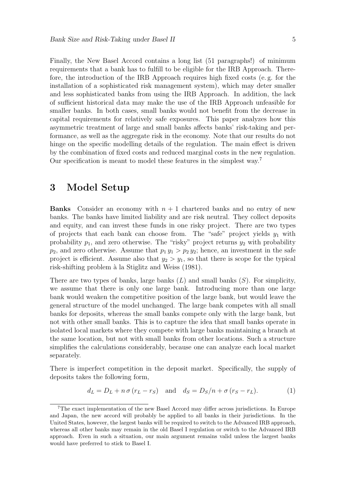Finally, the New Basel Accord contains a long list (51 paragraphs!) of minimum requirements that a bank has to fulfill to be eligible for the IRB Approach. Therefore, the introduction of the IRB Approach requires high fixed costs (e. g. for the installation of a sophisticated risk management system), which may deter smaller and less sophisticated banks from using the IRB Approach. In addition, the lack of sufficient historical data may make the use of the IRB Approach unfeasible for smaller banks. In both cases, small banks would not benefit from the decrease in capital requirements for relatively safe exposures. This paper analyzes how this asymmetric treatment of large and small banks affects banks' risk-taking and performance, as well as the aggregate risk in the economy. Note that our results do not hinge on the specific modelling details of the regulation. The main effect is driven by the combination of fixed costs and reduced marginal costs in the new regulation. Our specification is meant to model these features in the simplest way.7

# **3 Model Setup**

**Banks** Consider an economy with  $n + 1$  chartered banks and no entry of new banks. The banks have limited liability and are risk neutral. They collect deposits and equity, and can invest these funds in one risky project. There are two types of projects that each bank can choose from. The "safe" project yields  $y_1$  with probability  $p_1$ , and zero otherwise. The "risky" project returns  $y_2$  with probability  $p_2$ , and zero otherwise. Assume that  $p_1 y_1 > p_2 y_2$ ; hence, an investment in the safe project is efficient. Assume also that  $y_2 > y_1$ , so that there is scope for the typical risk-shifting problem à la Stiglitz and Weiss (1981).

There are two types of banks, large banks  $(L)$  and small banks  $(S)$ . For simplicity, we assume that there is only one large bank. Introducing more than one large bank would weaken the competitive position of the large bank, but would leave the general structure of the model unchanged. The large bank competes with all small banks for deposits, whereas the small banks compete only with the large bank, but not with other small banks. This is to capture the idea that small banks operate in isolated local markets where they compete with large banks maintaining a branch at the same location, but not with small banks from other locations. Such a structure simplifies the calculations considerably, because one can analyze each local market separately.

There is imperfect competition in the deposit market. Specifically, the supply of deposits takes the following form,

$$
d_L = D_L + n \sigma (r_L - r_S) \quad \text{and} \quad d_S = D_S/n + \sigma (r_S - r_L). \tag{1}
$$

<sup>7</sup>The exact implementation of the new Basel Accord may differ across jurisdictions. In Europe and Japan, the new accord will probably be applied to all banks in their jurisdictions. In the United States, however, the largest banks will be required to switch to the Advanced IRB approach, whereas all other banks may remain in the old Basel I regulation or switch to the Advanced IRB approach. Even in such a situation, our main argument remains valid unless the largest banks would have preferred to stick to Basel I.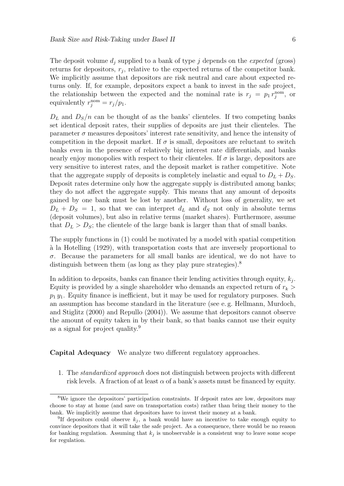The deposit volume  $d_i$  supplied to a bank of type  $j$  depends on the *expected* (gross) returns for depositors,  $r_j$ , relative to the expected returns of the competitor bank. We implicitly assume that depositors are risk neutral and care about expected returns only. If, for example, depositors expect a bank to invest in the safe project, the relationship between the expected and the nominal rate is  $r_j = p_1 r_j^{\text{nom}}$ , or equivalently  $r_j^{\text{nom}} = r_j/p_1$ .

 $D_L$  and  $D_S/n$  can be thought of as the banks' clienteles. If two competing banks set identical deposit rates, their supplies of deposits are just their clienteles. The parameter  $\sigma$  measures depositors' interest rate sensitivity, and hence the intensity of competition in the deposit market. If  $\sigma$  is small, depositors are reluctant to switch banks even in the presence of relatively big interest rate differentials, and banks nearly enjoy monopolies with respect to their clienteles. If  $\sigma$  is large, depositors are very sensitive to interest rates, and the deposit market is rather competitive. Note that the aggregate supply of deposits is completely inelastic and equal to  $D_L + D_S$ . Deposit rates determine only how the aggregate supply is distributed among banks; they do not affect the aggregate supply. This means that any amount of deposits gained by one bank must be lost by another. Without loss of generality, we set  $D_L + D_S = 1$ , so that we can interpret  $d_L$  and  $d_S$  not only in absolute terms (deposit volumes), but also in relative terms (market shares). Furthermore, assume that  $D_L > D_S$ ; the clientele of the large bank is larger than that of small banks.

The supply functions in (1) could be motivated by a model with spatial competition `a la Hotelling (1929), with transportation costs that are inversely proportional to  $\sigma$ . Because the parameters for all small banks are identical, we do not have to distinguish between them (as long as they play pure strategies).<sup>8</sup>

In addition to deposits, banks can finance their lending activities through equity,  $k_i$ . Equity is provided by a single shareholder who demands an expected return of  $r_k$  $p_1 y_1$ . Equity finance is inefficient, but it may be used for regulatory purposes. Such an assumption has become standard in the literature (see e. g. Hellmann, Murdoch, and Stiglitz (2000) and Repullo (2004)). We assume that depositors cannot observe the amount of equity taken in by their bank, so that banks cannot use their equity as a signal for project quality.9

**Capital Adequacy** We analyze two different regulatory approaches.

1. The *standardized approach* does not distinguish between projects with different risk levels. A fraction of at least  $\alpha$  of a bank's assets must be financed by equity.

<sup>8</sup>We ignore the depositors' participation constraints. If deposit rates are low, depositors may choose to stay at home (and save on transportation costs) rather than bring their money to the bank. We implicitly assume that depositors have to invest their money at a bank.

<sup>&</sup>lt;sup>9</sup>If depositors could observe  $k_j$ , a bank would have an incentive to take enough equity to convince depositors that it will take the safe project. As a consequence, there would be no reason for banking regulation. Assuming that  $k_j$  is unobservable is a consistent way to leave some scope for regulation.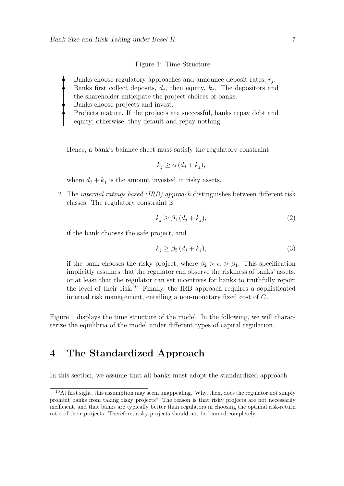#### Figure 1: Time Structure

Banks choose regulatory approaches and announce deposit rates,  $r_i$ .

- Banks first collect deposits,  $d_i$ , then equity,  $k_i$ . The depositors and the shareholder anticipate the project choices of banks.
- Banks choose projects and invest.
- Projects mature. If the projects are successful, banks repay debt and equity; otherwise, they default and repay nothing.

Hence, a bank's balance sheet must satisfy the regulatory constraint

$$
k_j \geq \alpha \left(d_j + k_j\right),
$$

where  $d_i + k_j$  is the amount invested in risky assets.

2. The *internal ratings based (IRB) approach* distinguishes between different risk classes. The regulatory constraint is

$$
k_j \geq \beta_1 \left( d_j + k_j \right),\tag{2}
$$

if the bank chooses the safe project, and

$$
k_j \ge \beta_2 \left(d_j + k_j\right),\tag{3}
$$

if the bank chooses the risky project, where  $\beta_2 > \alpha > \beta_1$ . This specification implicitly assumes that the regulator can observe the riskiness of banks' assets, or at least that the regulator can set incentives for banks to truthfully report the level of their risk.<sup>10</sup> Finally, the IRB approach requires a sophisticated internal risk management, entailing a non-monetary fixed cost of C.

Figure 1 displays the time structure of the model. In the following, we will characterize the equilibria of the model under different types of capital regulation.

## **4 The Standardized Approach**

In this section, we assume that all banks must adopt the standardized approach.

 $10$ At first sight, this assumption may seem unappealing. Why, then, does the regulator not simply prohibit banks from taking risky projects? The reason is that risky projects are not necessarily inefficient, and that banks are typically better than regulators in choosing the optimal risk-return ratio of their projects. Therefore, risky projects should not be banned completely.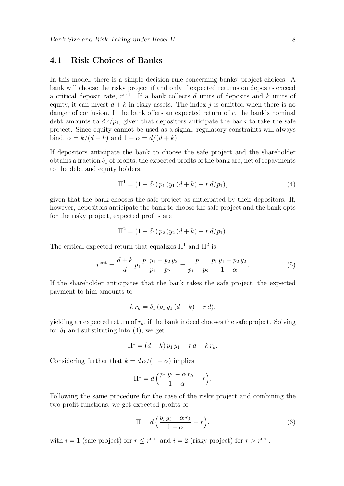### **4.1 Risk Choices of Banks**

In this model, there is a simple decision rule concerning banks' project choices. A bank will choose the risky project if and only if expected returns on deposits exceed a critical deposit rate,  $r^{\text{crit}}$ . If a bank collects d units of deposits and k units of equity, it can invest  $d + k$  in risky assets. The index j is omitted when there is no danger of confusion. If the bank offers an expected return of  $r$ , the bank's nominal debt amounts to  $dr/p_1$ , given that depositors anticipate the bank to take the safe project. Since equity cannot be used as a signal, regulatory constraints will always bind,  $\alpha = k/(d+k)$  and  $1-\alpha = d/(d+k)$ .

If depositors anticipate the bank to choose the safe project and the shareholder obtains a fraction  $\delta_1$  of profits, the expected profits of the bank are, net of repayments to the debt and equity holders,

$$
\Pi^{1} = (1 - \delta_{1}) p_{1} (y_{1} (d + k) - r d/p_{1}), \tag{4}
$$

given that the bank chooses the safe project as anticipated by their depositors. If, however, depositors anticipate the bank to choose the safe project and the bank opts for the risky project, expected profits are

$$
\Pi^2 = (1 - \delta_1) p_2 (y_2 (d + k) - r d/p_1).
$$

The critical expected return that equalizes  $\Pi^1$  and  $\Pi^2$  is

$$
r^{\text{crit}} = \frac{d+k}{d} p_1 \frac{p_1 y_1 - p_2 y_2}{p_1 - p_2} = \frac{p_1}{p_1 - p_2} \frac{p_1 y_1 - p_2 y_2}{1 - \alpha}.
$$
 (5)

If the shareholder anticipates that the bank takes the safe project, the expected payment to him amounts to

$$
k r_k = \delta_1 (p_1 y_1 (d + k) - r d),
$$

yielding an expected return of  $r_k$ , if the bank indeed chooses the safe project. Solving for  $\delta_1$  and substituting into (4), we get

$$
\Pi^{1} = (d + k) p_1 y_1 - r d - k r_k.
$$

Considering further that  $k = d\alpha/(1 - \alpha)$  implies

$$
\Pi^{1} = d\left(\frac{p_1 y_1 - \alpha r_k}{1 - \alpha} - r\right).
$$

Following the same procedure for the case of the risky project and combining the two profit functions, we get expected profits of

$$
\Pi = d\left(\frac{p_i y_i - \alpha r_k}{1 - \alpha} - r\right),\tag{6}
$$

with  $i = 1$  (safe project) for  $r \leq r^{\text{crit}}$  and  $i = 2$  (risky project) for  $r > r^{\text{crit}}$ .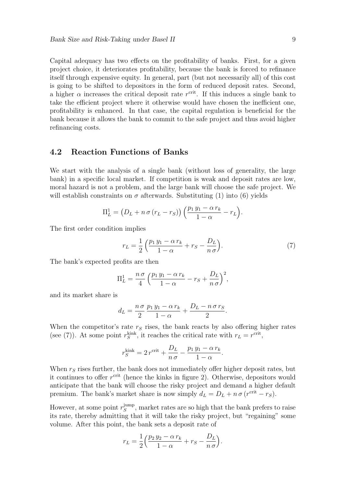Capital adequacy has two effects on the profitability of banks. First, for a given project choice, it deteriorates profitability, because the bank is forced to refinance itself through expensive equity. In general, part (but not necessarily all) of this cost is going to be shifted to depositors in the form of reduced deposit rates. Second, a higher  $\alpha$  increases the critical deposit rate  $r^{\text{crit}}$ . If this induces a single bank to take the efficient project where it otherwise would have chosen the inefficient one, profitability is enhanced. In that case, the capital regulation is beneficial for the bank because it allows the bank to commit to the safe project and thus avoid higher refinancing costs.

### **4.2 Reaction Functions of Banks**

We start with the analysis of a single bank (without loss of generality, the large bank) in a specific local market. If competition is weak and deposit rates are low, moral hazard is not a problem, and the large bank will choose the safe project. We will establish constraints on  $\sigma$  afterwards. Substituting (1) into (6) yields

$$
\Pi_L^1 = (D_L + n \sigma (r_L - r_S)) \left( \frac{p_1 y_1 - \alpha r_k}{1 - \alpha} - r_L \right).
$$

The first order condition implies

$$
r_L = \frac{1}{2} \left( \frac{p_1 y_1 - \alpha r_k}{1 - \alpha} + r_S - \frac{D_L}{n \sigma} \right).
$$
 (7)

The bank's expected profits are then

$$
\Pi_L^1 = \frac{n\,\sigma}{4} \left( \frac{p_1\,y_1 - \alpha\,r_k}{1 - \alpha} - r_S + \frac{D_L}{n\,\sigma} \right)^2,
$$

and its market share is

$$
d_L = \frac{n \sigma}{2} \frac{p_1 y_1 - \alpha r_k}{1 - \alpha} + \frac{D_L - n \sigma r_S}{2}.
$$

When the competitor's rate  $r<sub>S</sub>$  rises, the bank reacts by also offering higher rates (see (7)). At some point  $r_S^{\text{kink}}$ , it reaches the critical rate with  $r_L = r^{\text{crit}}$ ,

$$
r_S^{\text{kink}} = 2 r^{\text{crit}} + \frac{D_L}{n \sigma} - \frac{p_1 y_1 - \alpha r_k}{1 - \alpha}.
$$

When  $r<sub>S</sub>$  rises further, the bank does not immediately offer higher deposit rates, but it continues to offer  $r^{\text{crit}}$  (hence the kinks in figure 2). Otherwise, depositors would anticipate that the bank will choose the risky project and demand a higher default premium. The bank's market share is now simply  $d_L = D_L + n \sigma (r^{\text{crit}} - r_S)$ .

However, at some point  $r_S^{\text{jump}}$ , market rates are so high that the bank prefers to raise its rate, thereby admitting that it will take the risky project, but "regaining" some volume. After this point, the bank sets a deposit rate of

$$
r_L = \frac{1}{2} \left( \frac{p_2 y_2 - \alpha r_k}{1 - \alpha} + r_S - \frac{D_L}{n \sigma} \right).
$$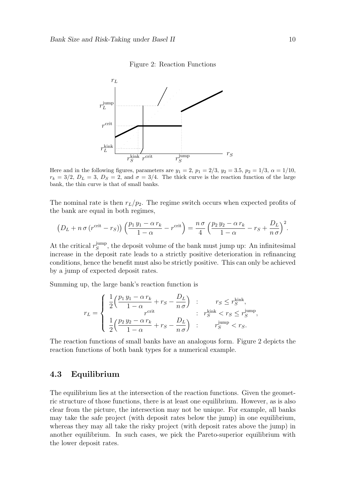#### Figure 2: Reaction Functions



Here and in the following figures, parameters are  $y_1 = 2$ ,  $p_1 = 2/3$ ,  $y_2 = 3.5$ ,  $p_2 = 1/3$ ,  $\alpha = 1/10$ ,  $r_k = 3/2$ ,  $D_L = 3$ ,  $D_S = 2$ , and  $\sigma = 3/4$ . The thick curve is the reaction function of the large bank, the thin curve is that of small banks.

The nominal rate is then  $r_L/p_2$ . The regime switch occurs when expected profits of the bank are equal in both regimes,

$$
(D_L + n \sigma (r^{\text{crit}} - r_S)) \left( \frac{p_1 y_1 - \alpha r_k}{1 - \alpha} - r^{\text{crit}} \right) = \frac{n \sigma}{4} \left( \frac{p_2 y_2 - \alpha r_k}{1 - \alpha} - r_S + \frac{D_L}{n \sigma} \right)^2.
$$

At the critical  $r_S^{\text{jump}}$ , the deposit volume of the bank must jump up: An infinitesimal increase in the deposit rate leads to a strictly positive deterioration in refinancing conditions, hence the benefit must also be strictly positive. This can only be achieved by a jump of expected deposit rates.

Summing up, the large bank's reaction function is

$$
r_L = \begin{cases} \frac{1}{2} \Big( \frac{p_1 y_1 - \alpha r_k}{1 - \alpha} + r_S - \frac{D_L}{n \sigma} \Big) & \colon & r_S \le r_S^{\text{kink}}, \\ \frac{1}{2} \Big( \frac{p_2 y_2 - \alpha r_k}{1 - \alpha} + r_S - \frac{D_L}{n \sigma} \Big) & \colon & r_S^{\text{kink}} < r_S \le r_S^{\text{jump}}, \\ \end{cases}
$$

The reaction functions of small banks have an analogous form. Figure 2 depicts the reaction functions of both bank types for a numerical example.

### **4.3 Equilibrium**

The equilibrium lies at the intersection of the reaction functions. Given the geometric structure of those functions, there is at least one equilibrium. However, as is also clear from the picture, the intersection may not be unique. For example, all banks may take the safe project (with deposit rates below the jump) in one equilibrium, whereas they may all take the risky project (with deposit rates above the jump) in another equilibrium. In such cases, we pick the Pareto-superior equilibrium with the lower deposit rates.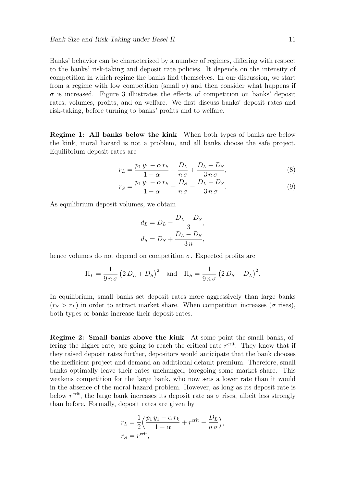Banks' behavior can be characterized by a number of regimes, differing with respect to the banks' risk-taking and deposit rate policies. It depends on the intensity of competition in which regime the banks find themselves. In our discussion, we start from a regime with low competition (small  $\sigma$ ) and then consider what happens if  $\sigma$  is increased. Figure 3 illustrates the effects of competition on banks' deposit rates, volumes, profits, and on welfare. We first discuss banks' deposit rates and risk-taking, before turning to banks' profits and to welfare.

**Regime 1: All banks below the kink** When both types of banks are below the kink, moral hazard is not a problem, and all banks choose the safe project. Equilibrium deposit rates are

$$
r_L = \frac{p_1 y_1 - \alpha r_k}{1 - \alpha} - \frac{D_L}{n \sigma} + \frac{D_L - D_S}{3 n \sigma},
$$
\n
$$
(8)
$$

$$
r_S = \frac{p_1 y_1 - \alpha r_k}{1 - \alpha} - \frac{D_S}{n \sigma} - \frac{D_L - D_S}{3 n \sigma}.
$$
\n(9)

As equilibrium deposit volumes, we obtain

$$
dL = DL - \frac{DL - DS}{3},
$$
  

$$
dS = DS + \frac{DL - DS}{3n},
$$

hence volumes do not depend on competition  $\sigma$ . Expected profits are

$$
\Pi_L = \frac{1}{9 n \sigma} \left( 2 D_L + D_S \right)^2 \quad \text{and} \quad \Pi_S = \frac{1}{9 n \sigma} \left( 2 D_S + D_L \right)^2.
$$

In equilibrium, small banks set deposit rates more aggressively than large banks  $(r_S > r_L)$  in order to attract market share. When competition increases ( $\sigma$  rises), both types of banks increase their deposit rates.

**Regime 2: Small banks above the kink** At some point the small banks, offering the higher rate, are going to reach the critical rate  $r^{\text{crit}}$ . They know that if they raised deposit rates further, depositors would anticipate that the bank chooses the inefficient project and demand an additional default premium. Therefore, small banks optimally leave their rates unchanged, foregoing some market share. This weakens competition for the large bank, who now sets a lower rate than it would in the absence of the moral hazard problem. However, as long as its deposit rate is below  $r^{\text{crit}}$ , the large bank increases its deposit rate as  $\sigma$  rises, albeit less strongly than before. Formally, deposit rates are given by

$$
r_L = \frac{1}{2} \left( \frac{p_1 y_1 - \alpha r_k}{1 - \alpha} + r^{\text{crit}} - \frac{D_L}{n \sigma} \right),
$$
  

$$
r_S = r^{\text{crit}},
$$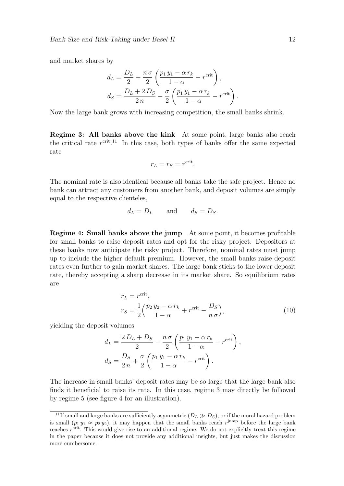and market shares by

$$
d_L = \frac{D_L}{2} + \frac{n \sigma}{2} \left( \frac{p_1 y_1 - \alpha r_k}{1 - \alpha} - r^{\text{crit}} \right),
$$
  

$$
d_S = \frac{D_L + 2 D_S}{2 n} - \frac{\sigma}{2} \left( \frac{p_1 y_1 - \alpha r_k}{1 - \alpha} - r^{\text{crit}} \right).
$$

Now the large bank grows with increasing competition, the small banks shrink.

**Regime 3: All banks above the kink** At some point, large banks also reach the critical rate  $r^{\text{crit}}$ .<sup>11</sup> In this case, both types of banks offer the same expected rate

$$
r_L = r_S = r^{\text{crit}}.
$$

The nominal rate is also identical because all banks take the safe project. Hence no bank can attract any customers from another bank, and deposit volumes are simply equal to the respective clienteles,

$$
d_L = D_L \quad \text{and} \quad d_S = D_S.
$$

**Regime 4: Small banks above the jump** At some point, it becomes profitable for small banks to raise deposit rates and opt for the risky project. Depositors at these banks now anticipate the risky project. Therefore, nominal rates must jump up to include the higher default premium. However, the small banks raise deposit rates even further to gain market shares. The large bank sticks to the lower deposit rate, thereby accepting a sharp decrease in its market share. So equilibrium rates are

$$
r_L = r^{\text{crit}},
$$
  
\n
$$
r_S = \frac{1}{2} \left( \frac{p_2 y_2 - \alpha r_k}{1 - \alpha} + r^{\text{crit}} - \frac{D_S}{n \sigma} \right),
$$
\n(10)

yielding the deposit volumes

$$
d_L = \frac{2 D_L + D_S}{2} - \frac{n \sigma}{2} \left( \frac{p_1 y_1 - \alpha r_k}{1 - \alpha} - r^{\text{crit}} \right),
$$
  

$$
d_S = \frac{D_S}{2 n} + \frac{\sigma}{2} \left( \frac{p_1 y_1 - \alpha r_k}{1 - \alpha} - r^{\text{crit}} \right).
$$

The increase in small banks' deposit rates may be so large that the large bank also finds it beneficial to raise its rate. In this case, regime 3 may directly be followed by regime 5 (see figure 4 for an illustration).

<sup>&</sup>lt;sup>11</sup>If small and large banks are sufficiently asymmetric  $(D_L \gg D_S)$ , or if the moral hazard problem is small  $(p_1 y_1 \approx p_2 y_2)$ , it may happen that the small banks reach  $r^{jump}$  before the large bank reaches  $r^{\text{crit}}$ . This would give rise to an additional regime. We do not explicitly treat this regime in the paper because it does not provide any additional insights, but just makes the discussion more cumbersome.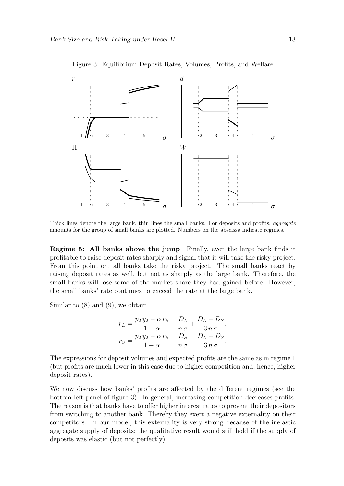

Figure 3: Equilibrium Deposit Rates, Volumes, Profits, and Welfare

Thick lines denote the large bank, thin lines the small banks. For deposits and profits, *aggregate* amounts for the group of small banks are plotted. Numbers on the abscissa indicate regimes.

**Regime 5: All banks above the jump** Finally, even the large bank finds it profitable to raise deposit rates sharply and signal that it will take the risky project. From this point on, all banks take the risky project. The small banks react by raising deposit rates as well, but not as sharply as the large bank. Therefore, the small banks will lose some of the market share they had gained before. However, the small banks' rate continues to exceed the rate at the large bank.

Similar to  $(8)$  and  $(9)$ , we obtain

$$
r_L = \frac{p_2 y_2 - \alpha r_k}{1 - \alpha} - \frac{D_L}{n \sigma} + \frac{D_L - D_S}{3 n \sigma},
$$
  

$$
r_S = \frac{p_2 y_2 - \alpha r_k}{1 - \alpha} - \frac{D_S}{n \sigma} - \frac{D_L - D_S}{3 n \sigma}.
$$

The expressions for deposit volumes and expected profits are the same as in regime 1 (but profits are much lower in this case due to higher competition and, hence, higher deposit rates).

We now discuss how banks' profits are affected by the different regimes (see the bottom left panel of figure 3). In general, increasing competition decreases profits. The reason is that banks have to offer higher interest rates to prevent their depositors from switching to another bank. Thereby they exert a negative externality on their competitors. In our model, this externality is very strong because of the inelastic aggregate supply of deposits; the qualitative result would still hold if the supply of deposits was elastic (but not perfectly).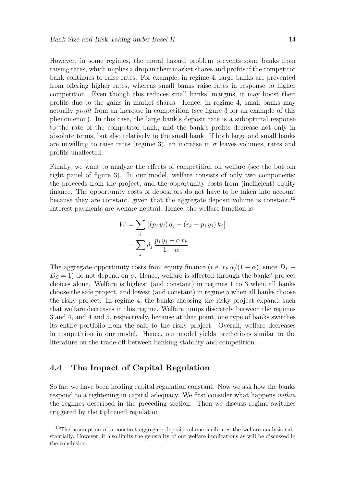However, in some regimes, the moral hazard problem prevents some banks from raising rates, which implies a drop in their market shares and profits if the competitor bank continues to raise rates. For example, in regime 4, large banks are prevented from offering higher rates, whereas small banks raise rates in response to higher competition. Even though this reduces small banks' margins, it may boost their profits due to the gains in market shares. Hence, in regime 4, small banks may actually *profit* from an increase in competition (see figure 3 for an example of this phenomenon). In this case, the large bank's deposit rate is a suboptimal response to the rate of the competitor bank, and the bank's profits decrease not only in absolute terms, but also relatively to the small bank. If both large and small banks are unwilling to raise rates (regime 3), an increase in  $\sigma$  leaves volumes, rates and profits unaffected.

Finally, we want to analyze the effects of competition on welfare (see the bottom right panel of figure 3). In our model, welfare consists of only two components: the proceeds from the project, and the opportunity costs from (inefficient) equity finance. The opportunity costs of depositors do not have to be taken into account because they are constant, given that the aggregate deposit volume is constant.<sup>12</sup> Interest payments are welfare-neutral. Hence, the welfare function is

$$
W = \sum_{j} \left[ (p_j y_j) d_j - (r_k - p_j y_j) k_j \right]
$$
  
= 
$$
\sum_{j} d_j \frac{p_j y_j - \alpha r_k}{1 - \alpha}.
$$

The aggregate opportunity costs from equity finance (i.e.  $r_k \alpha/(1-\alpha)$ , since  $D_L$  +  $D<sub>S</sub> = 1$ ) do not depend on  $\sigma$ . Hence, welfare is affected through the banks' project choices alone. Welfare is highest (and constant) in regimes 1 to 3 when all banks choose the safe project, and lowest (and constant) in regime 5 when all banks choose the risky project. In regime 4, the banks choosing the risky project expand, such that welfare decreases in this regime. Welfare jumps discretely between the regimes 3 and 4, and 4 and 5, respectively, because at that point, one type of banks switches its entire portfolio from the safe to the risky project. Overall, welfare decreases in competition in our model. Hence, our model yields predictions similar to the literature on the trade-off between banking stability and competition.

### **4.4 The Impact of Capital Regulation**

So far, we have been holding capital regulation constant. Now we ask how the banks respond to a tightening in capital adequacy. We first consider what happens *within* the regimes described in the preceding section. Then we discuss regime switches triggered by the tightened regulation.

<sup>&</sup>lt;sup>12</sup>The assumption of a constant aggregate deposit volume facilitates the welfare analysis substantially. However, it also limits the generality of our welfare implications as will be discussed in the conclusion.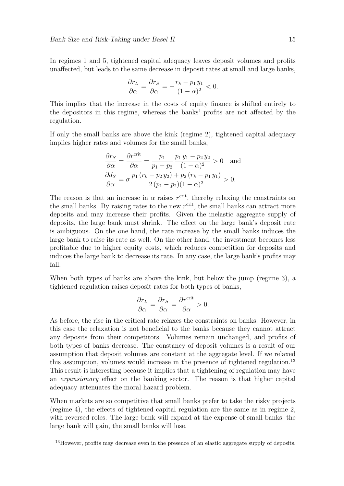In regimes 1 and 5, tightened capital adequacy leaves deposit volumes and profits unaffected, but leads to the same decrease in deposit rates at small and large banks,

$$
\frac{\partial r_L}{\partial \alpha} = \frac{\partial r_S}{\partial \alpha} = -\frac{r_k - p_1 y_1}{(1 - \alpha)^2} < 0.
$$

This implies that the increase in the costs of equity finance is shifted entirely to the depositors in this regime, whereas the banks' profits are not affected by the regulation.

If only the small banks are above the kink (regime 2), tightened capital adequacy implies higher rates and volumes for the small banks,

$$
\frac{\partial r_S}{\partial \alpha} = \frac{\partial r^{\text{crit}}}{\partial \alpha} = \frac{p_1}{p_1 - p_2} \frac{p_1 y_1 - p_2 y_2}{(1 - \alpha)^2} > 0 \text{ and}
$$

$$
\frac{\partial d_S}{\partial \alpha} = \sigma \frac{p_1 (r_k - p_2 y_2) + p_2 (r_k - p_1 y_1)}{2 (p_1 - p_2)(1 - \alpha)^2} > 0.
$$

The reason is that an increase in  $\alpha$  raises  $r^{\text{crit}}$ , thereby relaxing the constraints on the small banks. By raising rates to the new  $r^{\text{crit}}$ , the small banks can attract more deposits and may increase their profits. Given the inelastic aggregate supply of deposits, the large bank must shrink. The effect on the large bank's deposit rate is ambiguous. On the one hand, the rate increase by the small banks induces the large bank to raise its rate as well. On the other hand, the investment becomes less profitable due to higher equity costs, which reduces competition for deposits and induces the large bank to decrease its rate. In any case, the large bank's profits may fall.

When both types of banks are above the kink, but below the jump (regime 3), a tightened regulation raises deposit rates for both types of banks,

$$
\frac{\partial r_L}{\partial \alpha} = \frac{\partial r_S}{\partial \alpha} = \frac{\partial r^{\text{crit}}}{\partial \alpha} > 0.
$$

As before, the rise in the critical rate relaxes the constraints on banks. However, in this case the relaxation is not beneficial to the banks because they cannot attract any deposits from their competitors. Volumes remain unchanged, and profits of both types of banks decrease. The constancy of deposit volumes is a result of our assumption that deposit volumes are constant at the aggregate level. If we relaxed this assumption, volumes would increase in the presence of tightened regulation.<sup>13</sup> This result is interesting because it implies that a tightening of regulation may have an *expansionary* effect on the banking sector. The reason is that higher capital adequacy attenuates the moral hazard problem.

When markets are so competitive that small banks prefer to take the risky projects (regime 4), the effects of tightened capital regulation are the same as in regime 2, with reversed roles. The large bank will expand at the expense of small banks; the large bank will gain, the small banks will lose.

<sup>&</sup>lt;sup>13</sup>However, profits may decrease even in the presence of an elastic aggregate supply of deposits.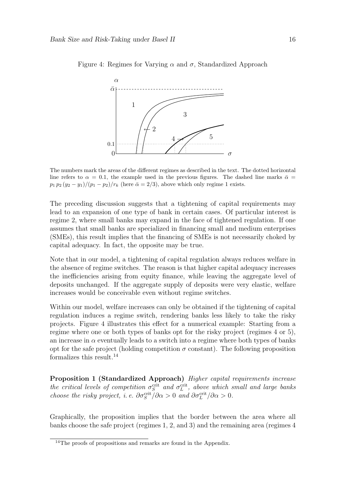

Figure 4: Regimes for Varying  $\alpha$  and  $\sigma$ , Standardized Approach

The numbers mark the areas of the different regimes as described in the text. The dotted horizontal line refers to  $\alpha = 0.1$ , the example used in the previous figures. The dashed line marks  $\bar{\alpha} =$  $p_1 p_2 (y_2 - y_1)/(p_1 - p_2)/r_k$  (here  $\bar{\alpha} = 2/3$ ), above which only regime 1 exists.

The preceding discussion suggests that a tightening of capital requirements may lead to an expansion of one type of bank in certain cases. Of particular interest is regime 2, where small banks may expand in the face of tightened regulation. If one assumes that small banks are specialized in financing small and medium enterprises (SMEs), this result implies that the financing of SMEs is not necessarily choked by capital adequacy. In fact, the opposite may be true.

Note that in our model, a tightening of capital regulation always reduces welfare in the absence of regime switches. The reason is that higher capital adequacy increases the inefficiencies arising from equity finance, while leaving the aggregate level of deposits unchanged. If the aggregate supply of deposits were very elastic, welfare increases would be conceivable even without regime switches.

Within our model, welfare increases can only be obtained if the tightening of capital regulation induces a regime switch, rendering banks less likely to take the risky projects. Figure 4 illustrates this effect for a numerical example: Starting from a regime where one or both types of banks opt for the risky project (regimes 4 or 5), an increase in  $\alpha$  eventually leads to a switch into a regime where both types of banks opt for the safe project (holding competition  $\sigma$  constant). The following proposition formalizes this result.<sup>14</sup>

**Proposition 1 (Standardized Approach)** *Higher capital requirements increase the critical levels of competition*  $\sigma_S^{\text{crit}}$  *and*  $\sigma_L^{\text{crit}}$ *, above which small and large banks choose the risky project, i.e.*  $\partial \sigma_S^{\text{crit}} / \partial \alpha > 0$  *and*  $\partial \sigma_L^{\text{crit}} / \partial \alpha > 0$ *.* 

Graphically, the proposition implies that the border between the area where all banks choose the safe project (regimes 1, 2, and 3) and the remaining area (regimes 4

<sup>&</sup>lt;sup>14</sup>The proofs of propositions and remarks are found in the Appendix.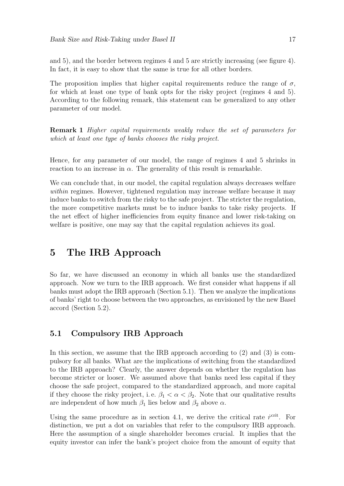and 5), and the border between regimes 4 and 5 are strictly increasing (see figure 4). In fact, it is easy to show that the same is true for all other borders.

The proposition implies that higher capital requirements reduce the range of  $\sigma$ , for which at least one type of bank opts for the risky project (regimes 4 and 5). According to the following remark, this statement can be generalized to any other parameter of our model.

**Remark 1** *Higher capital requirements weakly reduce the set of parameters for which at least one type of banks chooses the risky project.*

Hence, for *any* parameter of our model, the range of regimes 4 and 5 shrinks in reaction to an increase in  $\alpha$ . The generality of this result is remarkable.

We can conclude that, in our model, the capital regulation always decreases welfare *within* regimes. However, tightened regulation may increase welfare because it may induce banks to switch from the risky to the safe project. The stricter the regulation, the more competitive markets must be to induce banks to take risky projects. If the net effect of higher inefficiencies from equity finance and lower risk-taking on welfare is positive, one may say that the capital regulation achieves its goal.

# **5 The IRB Approach**

So far, we have discussed an economy in which all banks use the standardized approach. Now we turn to the IRB approach. We first consider what happens if all banks must adopt the IRB approach (Section 5.1). Then we analyze the implications of banks' right to choose between the two approaches, as envisioned by the new Basel accord (Section 5.2).

### **5.1 Compulsory IRB Approach**

In this section, we assume that the IRB approach according to (2) and (3) is compulsory for all banks. What are the implications of switching from the standardized to the IRB approach? Clearly, the answer depends on whether the regulation has become stricter or looser. We assumed above that banks need less capital if they choose the safe project, compared to the standardized approach, and more capital if they choose the risky project, i.e.  $\beta_1 < \alpha < \beta_2$ . Note that our qualitative results are independent of how much  $\beta_1$  lies below and  $\beta_2$  above  $\alpha$ .

Using the same procedure as in section 4.1, we derive the critical rate  $\dot{r}^{\text{crit}}$ . For distinction, we put a dot on variables that refer to the compulsory IRB approach. Here the assumption of a single shareholder becomes crucial. It implies that the equity investor can infer the bank's project choice from the amount of equity that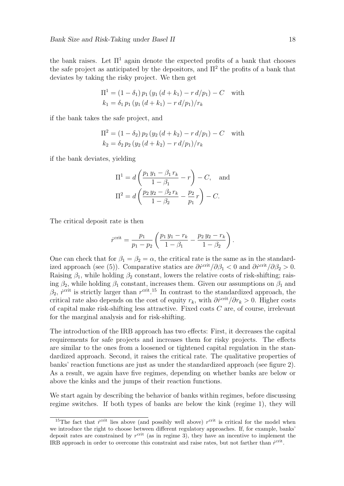the bank raises. Let  $\Pi^1$  again denote the expected profits of a bank that chooses the safe project as anticipated by the depositors, and  $\Pi^2$  the profits of a bank that deviates by taking the risky project. We then get

$$
\Pi^{1} = (1 - \delta_{1}) p_{1} (y_{1} (d + k_{1}) - r d/p_{1}) - C \text{ with}
$$
  

$$
k_{1} = \delta_{1} p_{1} (y_{1} (d + k_{1}) - r d/p_{1})/r_{k}
$$

if the bank takes the safe project, and

$$
\Pi^2 = (1 - \delta_2) p_2 (y_2 (d + k_2) - r d/p_1) - C \text{ with}
$$
  

$$
k_2 = \delta_2 p_2 (y_2 (d + k_2) - r d/p_1) / r_k
$$

if the bank deviates, yielding

$$
\Pi^{1} = d\left(\frac{p_{1} y_{1} - \beta_{1} r_{k}}{1 - \beta_{1}} - r\right) - C, \text{ and}
$$

$$
\Pi^{2} = d\left(\frac{p_{2} y_{2} - \beta_{2} r_{k}}{1 - \beta_{2}} - \frac{p_{2}}{p_{1}} r\right) - C.
$$

The critical deposit rate is then

$$
\dot{r}^{\text{crit}} = \frac{p_1}{p_1 - p_2} \left( \frac{p_1 y_1 - r_k}{1 - \beta_1} - \frac{p_2 y_2 - r_k}{1 - \beta_2} \right).
$$

One can check that for  $\beta_1 = \beta_2 = \alpha$ , the critical rate is the same as in the standardized approach (see (5)). Comparative statics are  $\partial \dot{r}^{\text{crit}}/\partial \beta_1 < 0$  and  $\partial \dot{r}^{\text{crit}}/\partial \beta_2 > 0$ . Raising  $\beta_1$ , while holding  $\beta_2$  constant, lowers the relative costs of risk-shifting; raising  $\beta_2$ , while holding  $\beta_1$  constant, increases them. Given our assumptions on  $\beta_1$  and  $\beta_2$ ,  $\dot{r}^{\text{crit}}$  is strictly larger than  $r^{\text{crit}}$ .<sup>15</sup> In contrast to the standardized approach, the critical rate also depends on the cost of equity  $r_k$ , with  $\partial \dot{r}^{\text{crit}}/\partial r_k > 0$ . Higher costs of capital make risk-shifting less attractive. Fixed costs C are, of course, irrelevant for the marginal analysis and for risk-shifting.

The introduction of the IRB approach has two effects: First, it decreases the capital requirements for safe projects and increases them for risky projects. The effects are similar to the ones from a loosened or tightened capital regulation in the standardized approach. Second, it raises the critical rate. The qualitative properties of banks' reaction functions are just as under the standardized approach (see figure 2). As a result, we again have five regimes, depending on whether banks are below or above the kinks and the jumps of their reaction functions.

We start again by describing the behavior of banks within regimes, before discussing regime switches. If both types of banks are below the kink (regime 1), they will

<sup>&</sup>lt;sup>15</sup>The fact that  $\dot{r}^{\text{crit}}$  lies above (and possibly well above)  $r^{\text{crit}}$  is critical for the model when we introduce the right to choose between different regulatory approaches. If, for example, banks' deposit rates are constrained by  $r^{\text{crit}}$  (as in regime 3), they have an incentive to implement the IRB approach in order to overcome this constraint and raise rates, but not farther than  $\dot{r}^{\text{crit}}$ .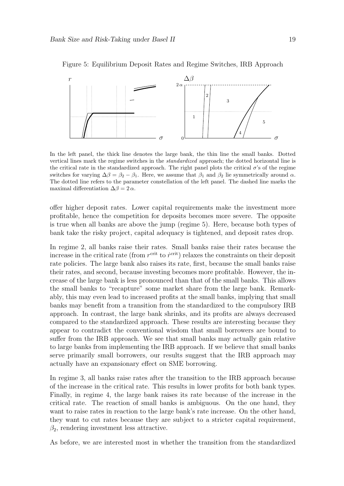

Figure 5: Equilibrium Deposit Rates and Regime Switches, IRB Approach

In the left panel, the thick line denotes the large bank, the thin line the small banks. Dotted vertical lines mark the regime switches in the *standardized* approach; the dotted horizontal line is the critical rate in the standardized approach. The right panel plots the critical  $\sigma$ 's of the regime switches for varying  $\Delta \beta = \beta_2 - \beta_1$ . Here, we assume that  $\beta_1$  and  $\beta_2$  lie symmetrically around  $\alpha$ . The dotted line refers to the parameter constellation of the left panel. The dashed line marks the maximal differentiation  $\Delta \beta = 2 \alpha$ .

offer higher deposit rates. Lower capital requirements make the investment more profitable, hence the competition for deposits becomes more severe. The opposite is true when all banks are above the jump (regime 5). Here, because both types of bank take the risky project, capital adequacy is tightened, and deposit rates drop.

In regime 2, all banks raise their rates. Small banks raise their rates because the increase in the critical rate (from  $r^{\text{crit}}$  to  $\dot{r}^{\text{crit}}$ ) relaxes the constraints on their deposit rate policies. The large bank also raises its rate, first, because the small banks raise their rates, and second, because investing becomes more profitable. However, the increase of the large bank is less pronounced than that of the small banks. This allows the small banks to "recapture" some market share from the large bank. Remarkably, this may even lead to increased profits at the small banks, implying that small banks may benefit from a transition from the standardized to the compulsory IRB approach. In contrast, the large bank shrinks, and its profits are always decreased compared to the standardized approach. These results are interesting because they appear to contradict the conventional wisdom that small borrowers are bound to suffer from the IRB approach. We see that small banks may actually gain relative to large banks from implementing the IRB approach. If we believe that small banks serve primarily small borrowers, our results suggest that the IRB approach may actually have an expansionary effect on SME borrowing.

In regime 3, all banks raise rates after the transition to the IRB approach because of the increase in the critical rate. This results in lower profits for both bank types. Finally, in regime 4, the large bank raises its rate because of the increase in the critical rate. The reaction of small banks is ambiguous. On the one hand, they want to raise rates in reaction to the large bank's rate increase. On the other hand, they want to cut rates because they are subject to a stricter capital requirement,  $\beta_2$ , rendering investment less attractive.

As before, we are interested most in whether the transition from the standardized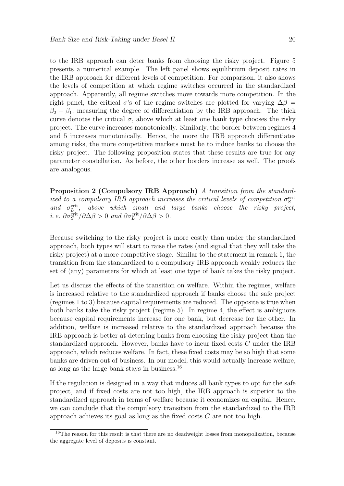to the IRB approach can deter banks from choosing the risky project. Figure 5 presents a numerical example. The left panel shows equilibrium deposit rates in the IRB approach for different levels of competition. For comparison, it also shows the levels of competition at which regime switches occurred in the standardized approach. Apparently, all regime switches move towards more competition. In the right panel, the critical  $\sigma$ 's of the regime switches are plotted for varying  $\Delta\beta$  =  $\beta_2 - \beta_1$ , measuring the degree of differentiation by the IRB approach. The thick curve denotes the critical  $\sigma$ , above which at least one bank type chooses the risky project. The curve increases monotonically. Similarly, the border between regimes 4 and 5 increases monotonically. Hence, the more the IRB approach differentiates among risks, the more competitive markets must be to induce banks to choose the risky project. The following proposition states that these results are true for any parameter constellation. As before, the other borders increase as well. The proofs are analogous.

**Proposition 2 (Compulsory IRB Approach)** *A transition from the standardized to a compulsory IRB approach increases the critical levels of competition*  $\sigma_S^{\text{crit}}$  $and \quad \sigma_L^{\text{crit}}$ , above which small and large banks choose the risky project, *i. e.*  $\partial \sigma_S^{\text{crit}}/\partial \Delta \beta > 0$  *and*  $\partial \sigma_L^{\text{crit}}/\partial \Delta \beta > 0$ *.* 

Because switching to the risky project is more costly than under the standardized approach, both types will start to raise the rates (and signal that they will take the risky project) at a more competitive stage. Similar to the statement in remark 1, the transition from the standardized to a compulsory IRB approach weakly reduces the set of (any) parameters for which at least one type of bank takes the risky project.

Let us discuss the effects of the transition on welfare. Within the regimes, welfare is increased relative to the standardized approach if banks choose the safe project (regimes 1 to 3) because capital requirements are reduced. The opposite is true when both banks take the risky project (regime 5). In regime 4, the effect is ambiguous because capital requirements increase for one bank, but decrease for the other. In addition, welfare is increased relative to the standardized approach because the IRB approach is better at deterring banks from choosing the risky project than the standardized approach. However, banks have to incur fixed costs C under the IRB approach, which reduces welfare. In fact, these fixed costs may be so high that some banks are driven out of business. In our model, this would actually increase welfare, as long as the large bank stays in business.16

If the regulation is designed in a way that induces all bank types to opt for the safe project, and if fixed costs are not too high, the IRB approach is superior to the standardized approach in terms of welfare because it economizes on capital. Hence, we can conclude that the compulsory transition from the standardized to the IRB approach achieves its goal as long as the fixed costs C are not too high.

<sup>&</sup>lt;sup>16</sup>The reason for this result is that there are no deadweight losses from monopolization, because the aggregate level of deposits is constant.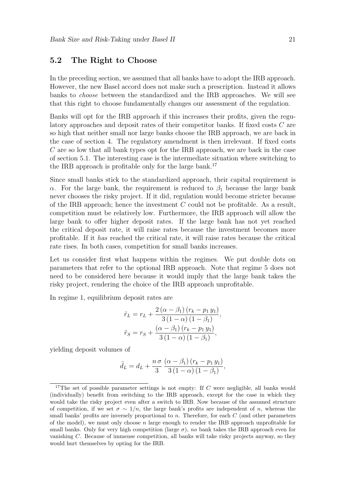### **5.2 The Right to Choose**

In the preceding section, we assumed that all banks have to adopt the IRB approach. However, the new Basel accord does not make such a prescription. Instead it allows banks to *choose* between the standardized and the IRB approaches. We will see that this right to choose fundamentally changes our assessment of the regulation.

Banks will opt for the IRB approach if this increases their profits, given the regulatory approaches and deposit rates of their competitor banks. If fixed costs C are so high that neither small nor large banks choose the IRB approach, we are back in the case of section 4. The regulatory amendment is then irrelevant. If fixed costs C are so low that all bank types opt for the IRB approach, we are back in the case of section 5.1. The interesting case is the intermediate situation where switching to the IRB approach is profitable only for the large bank.<sup>17</sup>

Since small banks stick to the standardized approach, their capital requirement is α. For the large bank, the requirement is reduced to  $β_1$  because the large bank never chooses the risky project. If it did, regulation would become stricter because of the IRB approach; hence the investment  $C$  could not be profitable. As a result, competition must be relatively low. Furthermore, the IRB approach will allow the large bank to offer higher deposit rates. If the large bank has not yet reached the critical deposit rate, it will raise rates because the investment becomes more profitable. If it *has* reached the critical rate, it will raise rates because the critical rate rises. In both cases, competition for small banks increases.

Let us consider first what happens within the regimes. We put double dots on parameters that refer to the optional IRB approach. Note that regime 5 does not need to be considered here because it would imply that the large bank takes the risky project, rendering the choice of the IRB approach unprofitable.

In regime 1, equilibrium deposit rates are

$$
\ddot{r}_L = r_L + \frac{2(\alpha - \beta_1)(r_k - p_1 y_1)}{3(1 - \alpha)(1 - \beta_1)},
$$
  

$$
\ddot{r}_S = r_S + \frac{(\alpha - \beta_1)(r_k - p_1 y_1)}{3(1 - \alpha)(1 - \beta_1)},
$$

yielding deposit volumes of

$$
\ddot{d}_L = d_L + \frac{n \sigma}{3} \frac{(\alpha - \beta_1) (r_k - p_1 y_1)}{3 (1 - \alpha) (1 - \beta_1)},
$$

<sup>&</sup>lt;sup>17</sup>The set of possible parameter settings is not empty: If  $C$  were negligible, all banks would (individually) benefit from switching to the IRB approach, except for the case in which they would take the risky project even after a switch to IRB. Now because of the assumed structure of competition, if we set  $\sigma \sim 1/n$ , the large bank's profits are independent of n, whereas the small banks' profits are inversely proportional to  $n$ . Therefore, for each  $C$  (and other parameters of the model), we must only choose n large enough to render the IRB approach unprofitable for small banks. Only for very high competition (large  $\sigma$ ), *no* bank takes the IRB approach even for vanishing C. Because of immense competition, all banks will take risky projects anyway, so they would hurt themselves by opting for the IRB.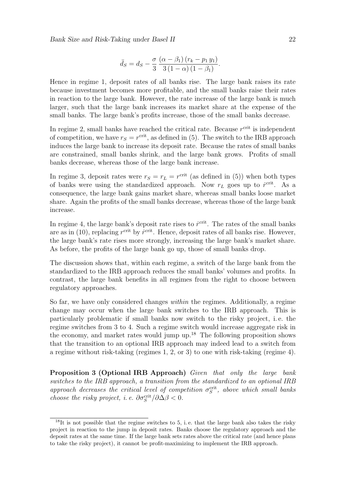$$
\ddot{d}_S = d_S - \frac{\sigma}{3} \frac{(\alpha - \beta_1)(r_k - p_1 y_1)}{3(1 - \alpha)(1 - \beta_1)}.
$$

Hence in regime 1, deposit rates of all banks rise. The large bank raises its rate because investment becomes more profitable, and the small banks raise their rates in reaction to the large bank. However, the rate increase of the large bank is much larger, such that the large bank increases its market share at the expense of the small banks. The large bank's profits increase, those of the small banks decrease.

In regime 2, small banks have reached the critical rate. Because  $r^{\text{crit}}$  is independent of competition, we have  $r_S = r^{\text{crit}}$ , as defined in (5). The switch to the IRB approach induces the large bank to increase its deposit rate. Because the rates of small banks are constrained, small banks shrink, and the large bank grows. Profits of small banks decrease, whereas those of the large bank increase.

In regime 3, deposit rates were  $r_S = r_L = r^{\text{crit}}$  (as defined in (5)) when both types of banks were using the standardized approach. Now  $r<sub>L</sub>$  goes up to  $\dot{r}^{\text{crit}}$ . As a consequence, the large bank gains market share, whereas small banks loose market share. Again the profits of the small banks decrease, whereas those of the large bank increase.

In regime 4, the large bank's deposit rate rises to  $\dot{r}^{\text{crit}}$ . The rates of the small banks are as in (10), replacing  $r^{\text{crit}}$  by  $\dot{r}^{\text{crit}}$ . Hence, deposit rates of all banks rise. However, the large bank's rate rises more strongly, increasing the large bank's market share. As before, the profits of the large bank go up, those of small banks drop.

The discussion shows that, within each regime, a switch of the large bank from the standardized to the IRB approach reduces the small banks' volumes and profits. In contrast, the large bank benefits in all regimes from the right to choose between regulatory approaches.

So far, we have only considered changes *within* the regimes. Additionally, a regime change may occur when the large bank switches to the IRB approach. This is particularly problematic if small banks now switch to the risky project, i. e. the regime switches from 3 to 4. Such a regime switch would increase aggregate risk in the economy, and market rates would jump up.<sup>18</sup> The following proposition shows that the transition to an optional IRB approach may indeed lead to a switch from a regime without risk-taking (regimes 1, 2, or 3) to one with risk-taking (regime 4).

**Proposition 3 (Optional IRB Approach)** *Given that only the large bank switches to the IRB approach, a transition from the standardized to an optional IRB*  $approach$  decreases the critical level of competition  $\sigma_S^{\text{crit}}$ , above which small banks *choose the risky project, i.e.*  $\partial \sigma_S^{\text{crit}} / \partial \Delta \beta < 0$ *.* 

 $18$ It is not possible that the regime switches to 5, i.e. that the large bank also takes the risky project in reaction to the jump in deposit rates. Banks choose the regulatory approach and the deposit rates at the same time. If the large bank sets rates above the critical rate (and hence plans to take the risky project), it cannot be profit-maximizing to implement the IRB approach.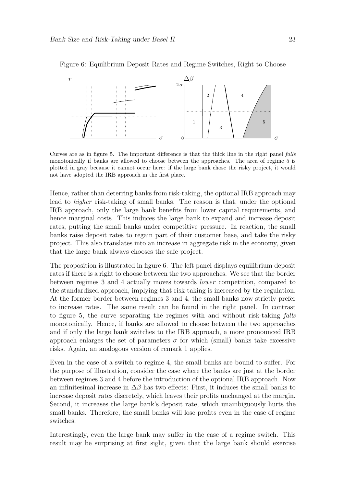

Figure 6: Equilibrium Deposit Rates and Regime Switches, Right to Choose

Curves are as in figure 5. The important difference is that the thick line in the right panel *falls* monotonically if banks are allowed to choose between the approaches. The area of regime 5 is plotted in gray because it cannot occur here: if the large bank chose the risky project, it would not have adopted the IRB approach in the first place.

Hence, rather than deterring banks from risk-taking, the optional IRB approach may lead to *higher* risk-taking of small banks. The reason is that, under the optional IRB approach, only the large bank benefits from lower capital requirements, and hence marginal costs. This induces the large bank to expand and increase deposit rates, putting the small banks under competitive pressure. In reaction, the small banks raise deposit rates to regain part of their customer base, and take the risky project. This also translates into an increase in aggregate risk in the economy, given that the large bank always chooses the safe project.

The proposition is illustrated in figure 6. The left panel displays equilibrium deposit rates if there is a right to choose between the two approaches. We see that the border between regimes 3 and 4 actually moves towards *lower* competition, compared to the standardized approach, implying that risk-taking is increased by the regulation. At the former border between regimes 3 and 4, the small banks now strictly prefer to increase rates. The same result can be found in the right panel. In contrast to figure 5, the curve separating the regimes with and without risk-taking *falls* monotonically. Hence, if banks are allowed to choose between the two approaches and if only the large bank switches to the IRB approach, a more pronounced IRB approach enlarges the set of parameters  $\sigma$  for which (small) banks take excessive risks. Again, an analogous version of remark 1 applies.

Even in the case of a switch to regime 4, the small banks are bound to suffer. For the purpose of illustration, consider the case where the banks are just at the border between regimes 3 and 4 before the introduction of the optional IRB approach. Now an infinitesimal increase in  $\Delta\beta$  has two effects: First, it induces the small banks to increase deposit rates discretely, which leaves their profits unchanged at the margin. Second, it increases the large bank's deposit rate, which unambiguously hurts the small banks. Therefore, the small banks will lose profits even in the case of regime switches.

Interestingly, even the large bank may suffer in the case of a regime switch. This result may be surprising at first sight, given that the large bank should exercise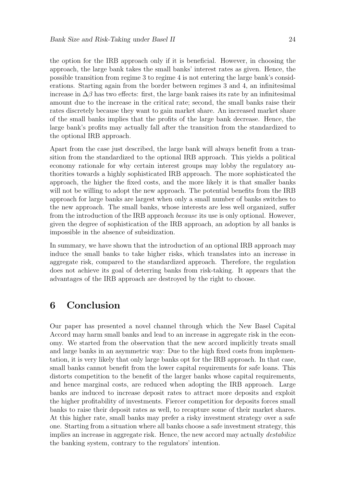the option for the IRB approach only if it is beneficial. However, in choosing the approach, the large bank takes the small banks' interest rates as given. Hence, the possible transition from regime 3 to regime 4 is not entering the large bank's considerations. Starting again from the border between regimes 3 and 4, an infinitesimal increase in  $\Delta\beta$  has two effects: first, the large bank raises its rate by an infinitesimal amount due to the increase in the critical rate; second, the small banks raise their rates discretely because they want to gain market share. An increased market share of the small banks implies that the profits of the large bank decrease. Hence, the large bank's profits may actually fall after the transition from the standardized to the optional IRB approach.

Apart from the case just described, the large bank will always benefit from a transition from the standardized to the optional IRB approach. This yields a political economy rationale for why certain interest groups may lobby the regulatory authorities towards a highly sophisticated IRB approach. The more sophisticated the approach, the higher the fixed costs, and the more likely it is that smaller banks will not be willing to adopt the new approach. The potential benefits from the IRB approach for large banks are largest when only a small number of banks switches to the new approach. The small banks, whose interests are less well organized, suffer from the introduction of the IRB approach *because* its use is only optional. However, given the degree of sophistication of the IRB approach, an adoption by all banks is impossible in the absence of subsidization.

In summary, we have shown that the introduction of an optional IRB approach may induce the small banks to take higher risks, which translates into an increase in aggregate risk, compared to the standardized approach. Therefore, the regulation does not achieve its goal of deterring banks from risk-taking. It appears that the advantages of the IRB approach are destroyed by the right to choose.

## **6 Conclusion**

Our paper has presented a novel channel through which the New Basel Capital Accord may harm small banks and lead to an increase in aggregate risk in the economy. We started from the observation that the new accord implicitly treats small and large banks in an asymmetric way: Due to the high fixed costs from implementation, it is very likely that only large banks opt for the IRB approach. In that case, small banks cannot benefit from the lower capital requirements for safe loans. This distorts competition to the benefit of the larger banks whose capital requirements, and hence marginal costs, are reduced when adopting the IRB approach. Large banks are induced to increase deposit rates to attract more deposits and exploit the higher profitability of investments. Fiercer competition for deposits forces small banks to raise their deposit rates as well, to recapture some of their market shares. At this higher rate, small banks may prefer a risky investment strategy over a safe one. Starting from a situation where all banks choose a safe investment strategy, this implies an increase in aggregate risk. Hence, the new accord may actually *destabilize* the banking system, contrary to the regulators' intention.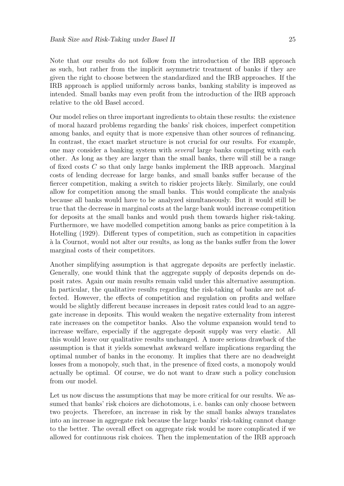Note that our results do not follow from the introduction of the IRB approach as such, but rather from the implicit asymmetric treatment of banks if they are given the right to choose between the standardized and the IRB approaches. If the IRB approach is applied uniformly across banks, banking stability is improved as intended. Small banks may even profit from the introduction of the IRB approach relative to the old Basel accord.

Our model relies on three important ingredients to obtain these results: the existence of moral hazard problems regarding the banks' risk choices, imperfect competition among banks, and equity that is more expensive than other sources of refinancing. In contrast, the exact market structure is not crucial for our results. For example, one may consider a banking system with *several* large banks competing with each other. As long as they are larger than the small banks, there will still be a range of fixed costs  $C$  so that only large banks implement the IRB approach. Marginal costs of lending decrease for large banks, and small banks suffer because of the fiercer competition, making a switch to riskier projects likely. Similarly, one could allow for competition among the small banks. This would complicate the analysis because all banks would have to be analyzed simultaneously. But it would still be true that the decrease in marginal costs at the large bank would increase competition for deposits at the small banks and would push them towards higher risk-taking. Furthermore, we have modelled competition among banks as price competition à la Hotelling (1929). Different types of competition, such as competition in capacities `a la Cournot, would not alter our results, as long as the banks suffer from the lower marginal costs of their competitors.

Another simplifying assumption is that aggregate deposits are perfectly inelastic. Generally, one would think that the aggregate supply of deposits depends on deposit rates. Again our main results remain valid under this alternative assumption. In particular, the qualitative results regarding the risk-taking of banks are not affected. However, the effects of competition and regulation on profits and welfare would be slightly different because increases in deposit rates could lead to an aggregate increase in deposits. This would weaken the negative externality from interest rate increases on the competitor banks. Also the volume expansion would tend to increase welfare, especially if the aggregate deposit supply was very elastic. All this would leave our qualitative results unchanged. A more serious drawback of the assumption is that it yields somewhat awkward welfare implications regarding the optimal number of banks in the economy. It implies that there are no deadweight losses from a monopoly, such that, in the presence of fixed costs, a monopoly would actually be optimal. Of course, we do not want to draw such a policy conclusion from our model.

Let us now discuss the assumptions that may be more critical for our results. We assumed that banks' risk choices are dichotomous, i. e. banks can only choose between two projects. Therefore, an increase in risk by the small banks always translates into an increase in aggregate risk because the large banks' risk-taking cannot change to the better. The overall effect on aggregate risk would be more complicated if we allowed for continuous risk choices. Then the implementation of the IRB approach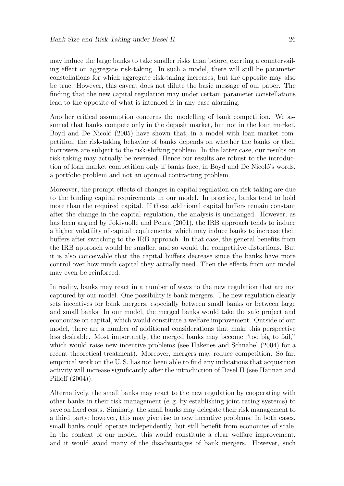may induce the large banks to take smaller risks than before, exerting a countervailing effect on aggregate risk-taking. In such a model, there will still be parameter constellations for which aggregate risk-taking increases, but the opposite may also be true. However, this caveat does not dilute the basic message of our paper. The finding that the new capital regulation may under certain parameter constellations lead to the opposite of what is intended is in any case alarming.

Another critical assumption concerns the modelling of bank competition. We assumed that banks compete only in the deposit market, but not in the loan market. Boyd and De Nicoló (2005) have shown that, in a model with loan market competition, the risk-taking behavior of banks depends on whether the banks or their borrowers are subject to the risk-shifting problem. In the latter case, our results on risk-taking may actually be reversed. Hence our results are robust to the introduction of loan market competition only if banks face, in Boyd and De Nicoló's words, a portfolio problem and not an optimal contracting problem.

Moreover, the prompt effects of changes in capital regulation on risk-taking are due to the binding capital requirements in our model. In practice, banks tend to hold more than the required capital. If these additional capital buffers remain constant after the change in the capital regulation, the analysis is unchanged. However, as has been argued by Jokivuolle and Peura (2001), the IRB approach tends to induce a higher volatility of capital requirements, which may induce banks to increase their buffers after switching to the IRB approach. In that case, the general benefits from the IRB approach would be smaller, and so would the competitive distortions. But it is also conceivable that the capital buffers decrease since the banks have more control over how much capital they actually need. Then the effects from our model may even be reinforced.

In reality, banks may react in a number of ways to the new regulation that are not captured by our model. One possibility is bank mergers. The new regulation clearly sets incentives for bank mergers, especially between small banks or between large and small banks. In our model, the merged banks would take the safe project and economize on capital, which would constitute a welfare improvement. Outside of our model, there are a number of additional considerations that make this perspective less desirable. Most importantly, the merged banks may become "too big to fail," which would raise new incentive problems (see Hakenes and Schnabel (2004) for a recent theoretical treatment). Moreover, mergers may reduce competition. So far, empirical work on the U. S. has not been able to find any indications that acquisition activity will increase significantly after the introduction of Basel II (see Hannan and Pilloff (2004)).

Alternatively, the small banks may react to the new regulation by cooperating with other banks in their risk management (e. g. by establishing joint rating systems) to save on fixed costs. Similarly, the small banks may delegate their risk management to a third party; however, this may give rise to new incentive problems. In both cases, small banks could operate independently, but still benefit from economies of scale. In the context of our model, this would constitute a clear welfare improvement, and it would avoid many of the disadvantages of bank mergers. However, such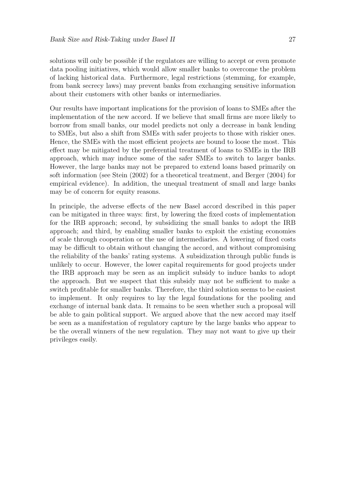solutions will only be possible if the regulators are willing to accept or even promote data pooling initiatives, which would allow smaller banks to overcome the problem of lacking historical data. Furthermore, legal restrictions (stemming, for example, from bank secrecy laws) may prevent banks from exchanging sensitive information about their customers with other banks or intermediaries.

Our results have important implications for the provision of loans to SMEs after the implementation of the new accord. If we believe that small firms are more likely to borrow from small banks, our model predicts not only a decrease in bank lending to SMEs, but also a shift from SMEs with safer projects to those with riskier ones. Hence, the SMEs with the most efficient projects are bound to loose the most. This effect may be mitigated by the preferential treatment of loans to SMEs in the IRB approach, which may induce some of the safer SMEs to switch to larger banks. However, the large banks may not be prepared to extend loans based primarily on soft information (see Stein (2002) for a theoretical treatment, and Berger (2004) for empirical evidence). In addition, the unequal treatment of small and large banks may be of concern for equity reasons.

In principle, the adverse effects of the new Basel accord described in this paper can be mitigated in three ways: first, by lowering the fixed costs of implementation for the IRB approach; second, by subsidizing the small banks to adopt the IRB approach; and third, by enabling smaller banks to exploit the existing economies of scale through cooperation or the use of intermediaries. A lowering of fixed costs may be difficult to obtain without changing the accord, and without compromising the reliability of the banks' rating systems. A subsidization through public funds is unlikely to occur. However, the lower capital requirements for good projects under the IRB approach may be seen as an implicit subsidy to induce banks to adopt the approach. But we suspect that this subsidy may not be sufficient to make a switch profitable for smaller banks. Therefore, the third solution seems to be easiest to implement. It only requires to lay the legal foundations for the pooling and exchange of internal bank data. It remains to be seen whether such a proposal will be able to gain political support. We argued above that the new accord may itself be seen as a manifestation of regulatory capture by the large banks who appear to be the overall winners of the new regulation. They may not want to give up their privileges easily.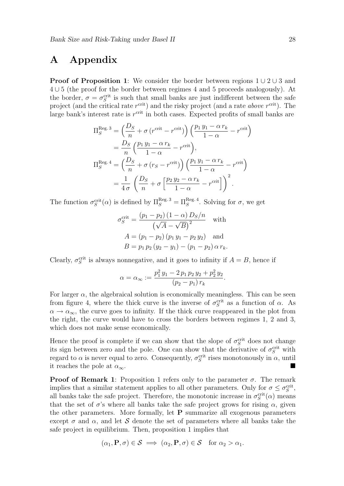# **A Appendix**

**Proof of Proposition 1**: We consider the border between regions 1 ∪ 2 ∪ 3 and 4 ∪ 5 (the proof for the border between regimes 4 and 5 proceeds analogously). At the border,  $\sigma = \sigma_S^{\text{crit}}$  is such that small banks are just indifferent between the safe project (and the critical rate  $r^{\text{crit}}$ ) and the risky project (and a rate *above*  $r^{\text{crit}}$ ). The large bank's interest rate is  $r^{\text{crit}}$  in both cases. Expected profits of small banks are

$$
\Pi_{S}^{\text{Reg. 3}} = \left(\frac{D_{S}}{n} + \sigma (r^{\text{crit}} - r^{\text{crit}})\right) \left(\frac{p_{1} y_{1} - \alpha r_{k}}{1 - \alpha} - r^{\text{crit}}\right)
$$

$$
= \frac{D_{S}}{n} \left(\frac{p_{1} y_{1} - \alpha r_{k}}{1 - \alpha} - r^{\text{crit}}\right),
$$

$$
\Pi_{S}^{\text{Reg. 4}} = \left(\frac{D_{S}}{n} + \sigma (r_{S} - r^{\text{crit}})\right) \left(\frac{p_{1} y_{1} - \alpha r_{k}}{1 - \alpha} - r^{\text{crit}}\right)
$$

$$
= \frac{1}{4\sigma} \left(\frac{D_{S}}{n} + \sigma \left[\frac{p_{2} y_{2} - \alpha r_{k}}{1 - \alpha} - r^{\text{crit}}\right]\right)^{2}.
$$

The function  $\sigma_S^{\text{crit}}(\alpha)$  is defined by  $\Pi_S^{\text{Reg. 3}} = \Pi_S^{\text{Reg. 4}}$ . Solving for  $\sigma$ , we get

$$
\sigma_S^{\text{crit}} = \frac{(p_1 - p_2) (1 - \alpha) D_S/n}{(\sqrt{A} - \sqrt{B})^2} \quad \text{with}
$$
  

$$
A = (p_1 - p_2) (p_1 y_1 - p_2 y_2) \quad \text{and}
$$
  

$$
B = p_1 p_2 (y_2 - y_1) - (p_1 - p_2) \alpha r_k.
$$

Clearly,  $\sigma_S^{\text{crit}}$  is always nonnegative, and it goes to infinity if  $A = B$ , hence if

$$
\alpha = \alpha_{\infty} := \frac{p_1^2 y_1 - 2 p_1 p_2 y_2 + p_2^2 y_2}{(p_2 - p_1) r_k}.
$$

For larger  $\alpha$ , the algebraical solution is economically meaningless. This can be seen from figure 4, where the thick curve is the inverse of  $\sigma_S^{\text{crit}}$  as a function of  $\alpha$ . As  $\alpha \to \alpha_{\infty}$ , the curve goes to infinity. If the thick curve reappeared in the plot from the right, the curve would have to cross the borders between regimes 1, 2 and 3, which does not make sense economically.

Hence the proof is complete if we can show that the slope of  $\sigma_S^{\text{crit}}$  does not change its sign between zero and the pole. One can show that the derivative of  $\sigma_S^{\text{crit}}$  with regard to  $\alpha$  is never equal to zero. Consequently,  $\sigma_S^{\text{crit}}$  rises monotonously in  $\alpha$ , until it reaches the pole at  $\alpha_{\infty}$ .

**Proof of Remark 1:** Proposition 1 refers only to the parameter  $\sigma$ . The remark implies that a similar statement applies to all other parameters. Only for  $\sigma \leq \sigma_S^{\text{crit}}$ , all banks take the safe project. Therefore, the monotonic increase in  $\sigma_S^{\text{crit}}(\alpha)$  means that the set of  $\sigma$ 's where all banks take the safe project grows for rising  $\alpha$ , given the other parameters. More formally, let **P** summarize all exogenous parameters except  $\sigma$  and  $\alpha$ , and let S denote the set of parameters where all banks take the safe project in equilibrium. Then, proposition 1 implies that

$$
(\alpha_1, \mathbf{P}, \sigma) \in \mathcal{S} \implies (\alpha_2, \mathbf{P}, \sigma) \in \mathcal{S} \text{ for } \alpha_2 > \alpha_1.
$$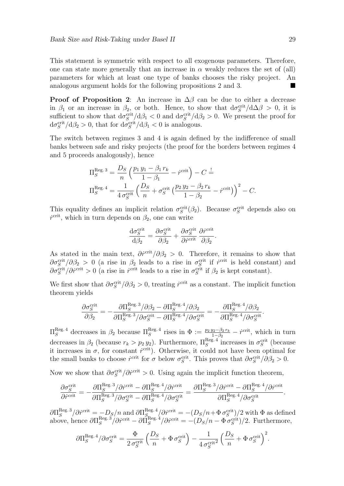This statement is symmetric with respect to all exogenous parameters. Therefore, one can state more generally that an increase in  $\alpha$  weakly reduces the set of (all) parameters for which at least one type of banks chooses the risky project. An analogous argument holds for the following propositions 2 and 3.

**Proof of Proposition 2:** An increase in  $\Delta\beta$  can be due to either a decrease in  $\beta_1$  or an increase in  $\beta_2$ , or both. Hence, to show that  $d\sigma_S^{\text{crit}}/d\Delta\beta > 0$ , it is sufficient to show that  $d\sigma_S^{\text{crit}}/d\beta_1 < 0$  and  $d\sigma_S^{\text{crit}}/d\beta_2 > 0$ . We present the proof for  $d\sigma_S^{\text{crit}}/d\beta_2 > 0$ , that for  $d\sigma_S^{\text{crit}}/d\beta_1 < 0$  is analogous.

The switch between regimes 3 and 4 is again defined by the indifference of small banks between safe and risky projects (the proof for the borders between regimes 4 and 5 proceeds analogously), hence

$$
\Pi_S^{\text{Reg. 3}} = \frac{D_S}{n} \left( \frac{p_1 y_1 - \beta_1 r_k}{1 - \beta_1} - \dot{r}^{\text{crit}} \right) - C \stackrel{!}{=} \n\Pi_S^{\text{Reg. 4}} = \frac{1}{4 \sigma_S^{\text{crit}}} \left( \frac{D_S}{n} + \sigma_S^{\text{crit}} \left( \frac{p_2 y_2 - \beta_2 r_k}{1 - \beta_2} - \dot{r}^{\text{crit}} \right) \right)^2 - C.
$$

This equality defines an implicit relation  $\sigma_S^{\text{crit}}(\beta_2)$ . Because  $\sigma_S^{\text{crit}}$  depends also on  $\dot{r}^{\text{crit}}$ , which in turn depends on  $\beta_2$ , one can write

$$
\frac{\mathrm{d}\sigma_S^{\text{crit}}}{\mathrm{d}\beta_2} = \frac{\partial \sigma_S^{\text{crit}}}{\partial \beta_2} + \frac{\partial \sigma_S^{\text{crit}}}{\partial \dot{r}^{\text{crit}}} \frac{\partial \dot{r}^{\text{crit}}}{\partial \beta_2}.
$$

As stated in the main text,  $\partial \dot{r}^{\text{crit}}/\partial \beta_2 > 0$ . Therefore, it remains to show that  $\partial \sigma_S^{\text{crit}}/\partial \beta_2 > 0$  (a rise in  $\beta_2$  leads to a rise in  $\sigma_S^{\text{crit}}$  if  $\dot{r}^{\text{crit}}$  is held constant) and  $\partial \sigma_S^{\text{crit}}/\partial \dot{r}^{\text{crit}} > 0$  (a rise in  $\dot{r}^{\text{crit}}$  leads to a rise in  $\sigma_S^{\text{crit}}$  if  $\beta_2$  is kept constant).

We first show that  $\partial \sigma_S^{\text{crit}}/\partial \beta_2 > 0$ , treating  $\dot{r}^{\text{crit}}$  as a constant. The implicit function theorem yields

$$
\frac{\partial \sigma_S^{\text{crit}}}{\partial \beta_2} = -\frac{\partial \Pi_S^{\text{Reg. 3}}/\partial \beta_2 - \partial \Pi_S^{\text{Reg. 4}}/\partial \beta_2}{\partial \Pi_S^{\text{Reg. 3}}/\partial \sigma_S^{\text{crit}} - \partial \Pi_S^{\text{Reg. 4}}/\partial \sigma_S^{\text{crit}}} = -\frac{\partial \Pi_S^{\text{Reg. 4}}/\partial \beta_2}{\partial \Pi_S^{\text{Reg. 4}}/\partial \sigma_S^{\text{crit}}}.
$$

 $\Pi_S^{\text{Reg. 4}}$  decreases in β<sub>2</sub> because  $\Pi_S^{\text{Reg. 4}}$  rises in Φ :=  $\frac{p_2 y_2 - \beta_2 r_k}{1 - \beta_2} - \dot{r}^{\text{crit}}$ , which in turn decreases in  $\beta_2$  (because  $r_k > p_2 y_2$ ). Furthermore,  $\Pi_S^{\text{Reg. 4}}$  increases in  $\sigma_S^{\text{crit}}$  (because it increases in  $\sigma$ , for constant  $\dot{r}^{\text{crit}}$ ). Otherwise, it could not have been optimal for the small banks to choose  $\dot{r}^{\text{crit}}$  for  $\sigma$  below  $\sigma_S^{\text{crit}}$ . This proves that  $\partial \sigma_S^{\text{crit}}/\partial \beta_2 > 0$ .

Now we show that  $\partial \sigma_S^{\text{crit}} / \partial \dot{r}^{\text{crit}} > 0$ . Using again the implicit function theorem,

$$
\frac{\partial \sigma_S^{\text{crit}}}{\partial \dot{r}^{\text{crit}}} = -\frac{\partial \Pi_S^{\text{Reg. 3}}/\partial \dot{r}^{\text{crit}} - \partial \Pi_S^{\text{Reg. 4}}/\partial \dot{r}^{\text{crit}}}{\partial \Pi_S^{\text{Reg. 3}}/\partial \sigma_S^{\text{crit}}} - \partial \Pi_S^{\text{Reg. 4}}/\partial \sigma_S^{\text{crit}}} = \frac{\partial \Pi_S^{\text{Reg. 3}}/\partial \dot{r}^{\text{crit}} - \partial \Pi_S^{\text{Reg. 4}}/\partial \dot{r}^{\text{crit}}}{\partial \Pi_S^{\text{Reg. 4}}/\partial \sigma_S^{\text{crit}}}. \label{eq:ddotcr}
$$

 $\partial \Pi_S^{\text{Reg. 3}} / \partial r^{\text{crit}} = -D_S/n$  and  $\partial \Pi_{S_{\text{Per}}}^{\text{Reg. 4}} / \partial r^{\text{crit}} = -(D_S/n + \Phi \sigma_S^{\text{crit}})/2$  with  $\Phi$  as defined above, hence  $\partial \Pi_S^{\text{Reg. 3}} / \partial \dot{r}^{\text{crit}} - \partial \Pi_S^{\text{Reg. 4}} / \partial \dot{r}^{\text{crit}} = -(D_S/n - \Phi \sigma_S^{\text{crit}})/2$ . Furthermore,

$$
\partial \Pi_S^{\text{Reg. 4}} / \partial \sigma_S^{\text{crit}} = \frac{\Phi}{2 \sigma_S^{\text{crit}}} \left( \frac{D_S}{n} + \Phi \sigma_S^{\text{crit}} \right) - \frac{1}{4 \sigma_S^{\text{crit}^2}} \left( \frac{D_S}{n} + \Phi \sigma_S^{\text{crit}} \right)^2.
$$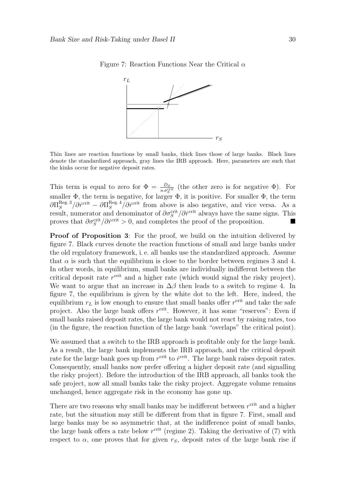

#### Figure 7: Reaction Functions Near the Critical  $\alpha$

Thin lines are reaction functions by small banks, thick lines those of large banks. Black lines denote the standardized approach, gray lines the IRB approach. Here, parameters are such that the kinks occur for negative deposit rates.

This term is equal to zero for  $\Phi = \frac{D_S}{n \sigma_S^{\text{crit}}}$  (the other zero is for negative  $\Phi$ ). For smaller  $\Phi$ , the term is negative, for larger  $\Phi$ , it is positive. For smaller  $\Phi$ , the term  $\partial\Pi_S^{\text{Reg. 3}}/\partial \dot{r}^{\text{crit}} - \partial\Pi_S^{\text{Reg. 4}}/\partial \dot{r}^{\text{crit}}$  from above is also negative, and vice versa. As a result, numerator and denominator of  $\partial \sigma_S^{\text{crit}}/\partial \dot{r}^{\text{crit}}$  always have the same signs. This proves that  $\partial \sigma_S^{\text{crit}} / \partial \dot{r}^{\text{crit}} > 0$ , and completes the proof of the proposition.

**Proof of Proposition 3**: For the proof, we build on the intuition delivered by figure 7. Black curves denote the reaction functions of small and large banks under the old regulatory framework, i. e. all banks use the standardized approach. Assume that  $\alpha$  is such that the equilibrium is close to the border between regimes 3 and 4. In other words, in equilibrium, small banks are individually indifferent between the critical deposit rate  $r^{\text{crit}}$  and a higher rate (which would signal the risky project). We want to argue that an increase in  $\Delta\beta$  then leads to a switch to regime 4. In figure 7, the equilibrium is given by the white dot to the left. Here, indeed, the equilibrium  $r<sub>L</sub>$  is low enough to ensure that small banks offer  $r<sup>crit</sup>$  and take the safe project. Also the large bank offers  $r^{\text{crit}}$ . However, it has some "reserves": Even if small banks raised deposit rates, the large bank would not react by raising rates, too (in the figure, the reaction function of the large bank "overlaps" the critical point).

We assumed that a switch to the IRB approach is profitable only for the large bank. As a result, the large bank implements the IRB approach, and the critical deposit rate for the large bank goes up from  $r^{\text{crit}}$  to  $\dot{r}^{\text{crit}}$ . The large bank raises deposit rates. Consequently, small banks now prefer offering a higher deposit rate (and signalling the risky project). Before the introduction of the IRB approach, all banks took the safe project, now all small banks take the risky project. Aggregate volume remains unchanged, hence aggregate risk in the economy has gone up.

There are two reasons why small banks may be indifferent between  $r^{\text{crit}}$  and a higher rate, but the situation may still be different from that in figure 7. First, small and large banks may be so asymmetric that, at the indifference point of small banks, the large bank offers a rate below  $r^{\text{crit}}$  (regime 2). Taking the derivative of (7) with respect to  $\alpha$ , one proves that for given  $r<sub>S</sub>$ , deposit rates of the large bank rise if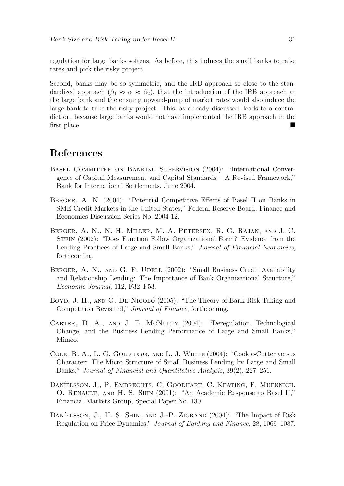regulation for large banks softens. As before, this induces the small banks to raise rates and pick the risky project.

Second, banks may be so symmetric, and the IRB approach so close to the standardized approach  $(\beta_1 \approx \alpha \approx \beta_2)$ , that the introduction of the IRB approach at the large bank and the ensuing upward-jump of market rates would also induce the large bank to take the risky project. This, as already discussed, leads to a contradiction, because large banks would not have implemented the IRB approach in the first place.

### **References**

- Basel Committee on Banking Supervision (2004): "International Convergence of Capital Measurement and Capital Standards – A Revised Framework," Bank for International Settlements, June 2004.
- Berger, A. N. (2004): "Potential Competitive Effects of Basel II on Banks in SME Credit Markets in the United States," Federal Reserve Board, Finance and Economics Discussion Series No. 2004-12.
- Berger, A. N., N. H. Miller, M. A. Petersen, R. G. Rajan, and J. C. Stein (2002): "Does Function Follow Organizational Form? Evidence from the Lending Practices of Large and Small Banks," *Journal of Financial Economics*, forthcoming.
- BERGER, A. N., AND G. F. UDELL (2002): "Small Business Credit Availability and Relationship Lending: The Importance of Bank Organizational Structure," *Economic Journal*, 112, F32–F53.
- BOYD, J. H., AND G. DE NICOLÓ (2005): "The Theory of Bank Risk Taking and Competition Revisited," *Journal of Finance*, forthcoming.
- CARTER, D. A., AND J. E. MCNULTY (2004): "Deregulation, Technological Change, and the Business Lending Performance of Large and Small Banks," Mimeo.
- COLE, R. A., L. G. GOLDBERG, AND L. J. WHITE (2004): "Cookie-Cutter versus Character: The Micro Structure of Small Business Lending by Large and Small Banks," *Journal of Financial and Quantitative Analysis*, 39(2), 227–251.
- DANÍELSSON, J., P. EMBRECHTS, C. GOODHART, C. KEATING, F. MUENNICH, O. RENAULT, AND H. S. SHIN (2001): "An Academic Response to Basel II," Financial Markets Group, Special Paper No. 130.
- DANÍELSSON, J., H. S. SHIN, AND J.-P. ZIGRAND (2004): "The Impact of Risk Regulation on Price Dynamics," *Journal of Banking and Finance*, 28, 1069–1087.